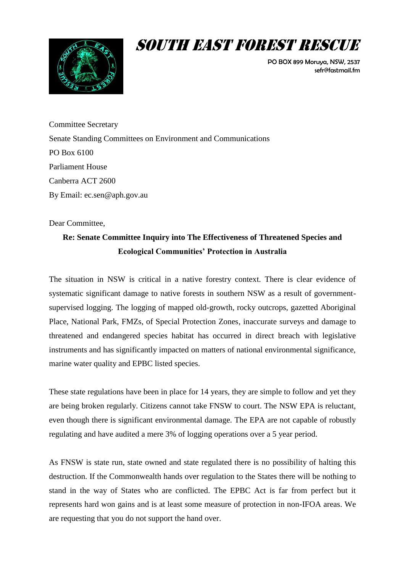

# SOUTH EAST FOREST RESCUE

PO BOX 899 Moruya, NSW, 2537 sefr@fastmail.fm

Committee Secretary Senate Standing Committees on Environment and Communications PO Box 6100 Parliament House Canberra ACT 2600 By Email: [ec.sen@aph.gov.au](mailto:ec.sen@aph.gov.au)

Dear Committee,

# **Re: Senate Committee Inquiry into The Effectiveness of Threatened Species and Ecological Communities' Protection in Australia**

The situation in NSW is critical in a native forestry context. There is clear evidence of systematic significant damage to native forests in southern NSW as a result of governmentsupervised logging. The logging of mapped old-growth, rocky outcrops, gazetted Aboriginal Place, National Park, FMZs, of Special Protection Zones, inaccurate surveys and damage to threatened and endangered species habitat has occurred in direct breach with legislative instruments and has significantly impacted on matters of national environmental significance, marine water quality and EPBC listed species.

These state regulations have been in place for 14 years, they are simple to follow and yet they are being broken regularly. Citizens cannot take FNSW to court. The NSW EPA is reluctant, even though there is significant environmental damage. The EPA are not capable of robustly regulating and have audited a mere 3% of logging operations over a 5 year period.

As FNSW is state run, state owned and state regulated there is no possibility of halting this destruction. If the Commonwealth hands over regulation to the States there will be nothing to stand in the way of States who are conflicted. The EPBC Act is far from perfect but it represents hard won gains and is at least some measure of protection in non-IFOA areas. We are requesting that you do not support the hand over.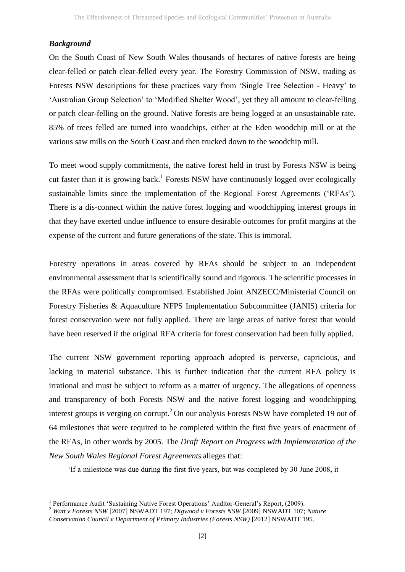#### *Background*

1

On the South Coast of New South Wales thousands of hectares of native forests are being clear-felled or patch clear-felled every year. The Forestry Commission of NSW, trading as Forests NSW descriptions for these practices vary from 'Single Tree Selection - Heavy' to 'Australian Group Selection' to 'Modified Shelter Wood', yet they all amount to clear-felling or patch clear-felling on the ground. Native forests are being logged at an unsustainable rate. 85% of trees felled are turned into woodchips, either at the Eden woodchip mill or at the various saw mills on the South Coast and then trucked down to the woodchip mill.

To meet wood supply commitments, the native forest held in trust by Forests NSW is being cut faster than it is growing back.<sup>1</sup> Forests NSW have continuously logged over ecologically sustainable limits since the implementation of the Regional Forest Agreements ('RFAs'). There is a dis-connect within the native forest logging and woodchipping interest groups in that they have exerted undue influence to ensure desirable outcomes for profit margins at the expense of the current and future generations of the state. This is immoral.

Forestry operations in areas covered by RFAs should be subject to an independent environmental assessment that is scientifically sound and rigorous. The scientific processes in the RFAs were politically compromised. Established Joint ANZECC/Ministerial Council on Forestry Fisheries & Aquaculture NFPS Implementation Subcommittee (JANIS) criteria for forest conservation were not fully applied. There are large areas of native forest that would have been reserved if the original RFA criteria for forest conservation had been fully applied.

The current NSW government reporting approach adopted is perverse, capricious, and lacking in material substance. This is further indication that the current RFA policy is irrational and must be subject to reform as a matter of urgency. The allegations of openness and transparency of both Forests NSW and the native forest logging and woodchipping interest groups is verging on corrupt.<sup>2</sup> On our analysis Forests NSW have completed 19 out of 64 milestones that were required to be completed within the first five years of enactment of the RFAs, in other words by 2005. The *Draft Report on Progress with Implementation of the New South Wales Regional Forest Agreements* alleges that:

'If a milestone was due during the first five years, but was completed by 30 June 2008, it

<sup>&</sup>lt;sup>1</sup> Performance Audit 'Sustaining Native Forest Operations' Auditor-General's Report, (2009).

<sup>2</sup> *Watt v Forests NSW* [2007] NSWADT 197; *Digwood v Forests NSW* [2009] NSWADT 107; *Nature Conservation Council v Department of Primary Industries (Forests NSW)* [2012] NSWADT 195.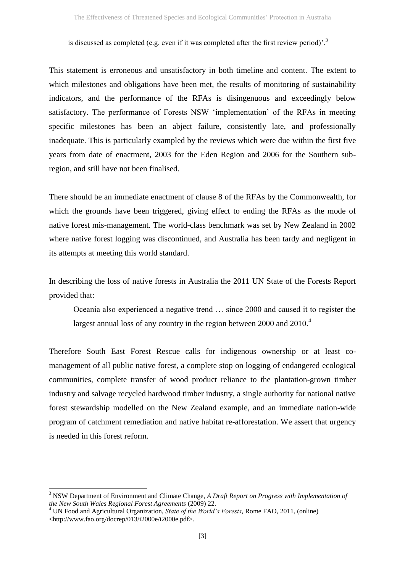is discussed as completed (e.g. even if it was completed after the first review period)'.<sup>3</sup>

This statement is erroneous and unsatisfactory in both timeline and content. The extent to which milestones and obligations have been met, the results of monitoring of sustainability indicators, and the performance of the RFAs is disingenuous and exceedingly below satisfactory. The performance of Forests NSW 'implementation' of the RFAs in meeting specific milestones has been an abject failure, consistently late, and professionally inadequate. This is particularly exampled by the reviews which were due within the first five years from date of enactment, 2003 for the Eden Region and 2006 for the Southern subregion, and still have not been finalised.

There should be an immediate enactment of clause 8 of the RFAs by the Commonwealth, for which the grounds have been triggered, giving effect to ending the RFAs as the mode of native forest mis-management. The world-class benchmark was set by New Zealand in 2002 where native forest logging was discontinued, and Australia has been tardy and negligent in its attempts at meeting this world standard.

In describing the loss of native forests in Australia the 2011 UN State of the Forests Report provided that:

<span id="page-2-0"></span>Oceania also experienced a negative trend … since 2000 and caused it to register the largest annual loss of any country in the region between 2000 and 2010.<sup>4</sup>

Therefore South East Forest Rescue calls for indigenous ownership or at least comanagement of all public native forest, a complete stop on logging of endangered ecological communities, complete transfer of wood product reliance to the plantation-grown timber industry and salvage recycled hardwood timber industry, a single authority for national native forest stewardship modelled on the New Zealand example, and an immediate nation-wide program of catchment remediation and native habitat re-afforestation. We assert that urgency is needed in this forest reform.

<sup>3</sup> NSW Department of Environment and Climate Change, *A Draft Report on Progress with Implementation of the New South Wales Regional Forest Agreements* (2009) 22.

<sup>4</sup> UN Food and Agricultural Organization, *State of the World's Forests*, Rome FAO, 2011, (online) <http://www.fao.org/docrep/013/i2000e/i2000e.pdf>.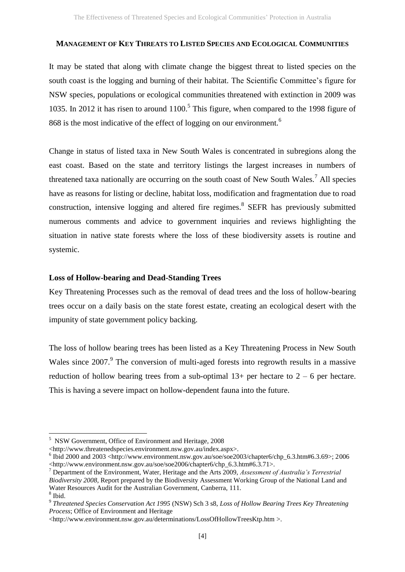#### **MANAGEMENT OF KEY THREATS TO LISTED SPECIES AND ECOLOGICAL COMMUNITIES**

It may be stated that along with climate change the biggest threat to listed species on the south coast is the logging and burning of their habitat. The Scientific Committee's figure for NSW species, populations or ecological communities threatened with extinction in 2009 was 1035. In 2012 it has risen to around 1100. 5 This figure, when compared to the 1998 figure of 868 is the most indicative of the effect of logging on our environment.<sup>6</sup>

Change in status of listed taxa in New South Wales is concentrated in subregions along the east coast. Based on the state and territory listings the largest increases in numbers of threatened taxa nationally are occurring on the south coast of New South Wales.<sup>7</sup> All species have as reasons for listing or decline, habitat loss, modification and fragmentation due to road construction, intensive logging and altered fire regimes. 8 SEFR has previously submitted numerous comments and advice to government inquiries and reviews highlighting the situation in native state forests where the loss of these biodiversity assets is routine and systemic.

# **Loss of Hollow-bearing and Dead-Standing Trees**

Key Threatening Processes such as the removal of dead trees and the loss of hollow-bearing trees occur on a daily basis on the state forest estate, creating an ecological desert with the impunity of state government policy backing.

The loss of hollow bearing trees has been listed as a Key Threatening Process in New South Wales since 2007.<sup>9</sup> The conversion of multi-aged forests into regrowth results in a massive reduction of hollow bearing trees from a sub-optimal  $13+$  per hectare to  $2-6$  per hectare. This is having a severe impact on hollow-dependent fauna into the future.

<sup>5</sup> NSW Government, Office of Environment and Heritage, 2008

<sup>&</sup>lt;http://www.threatenedspecies.environment.nsw.gov.au/index.aspx>.

 $6$  Ibid 2000 and 2003 <http://www.environment.nsw.gov.au/soe/soe2003/chapter6/chp\_6.3.htm#6.3.69>; 2006 <http://www.environment.nsw.gov.au/soe/soe2006/chapter6/chp\_6.3.htm#6.3.71>.

<sup>7</sup> Department of the Environment, Water, Heritage and the Arts 2009, *Assessment of Australia's Terrestrial Biodiversity 2008*, Report prepared by the Biodiversity Assessment Working Group of the National Land and Water Resources Audit for the Australian Government, Canberra, 111.

<sup>8</sup> Ibid.

<sup>9</sup> *Threatened Species Conservation Act 1995* (NSW) Sch 3 s8, *Loss of Hollow Bearing Trees Key Threatening Process*; Office of Environment and Heritage

[<sup>&</sup>lt;http://www.environment.nsw.gov.au/determinations/LossOfHollowTreesKtp.htm](http://www.environment.nsw.gov.au/determinations/LossOfHollowTreesKtp.htm) >.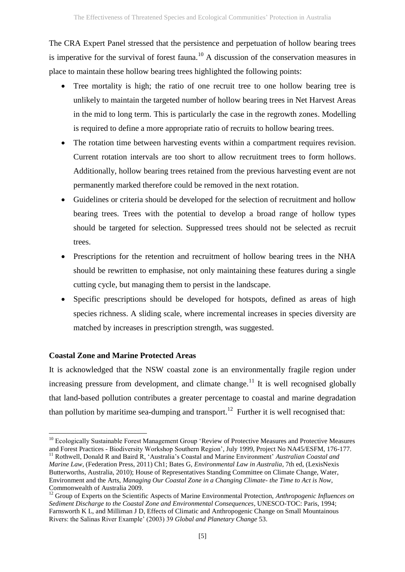The CRA Expert Panel stressed that the persistence and perpetuation of hollow bearing trees is imperative for the survival of forest fauna.<sup>10</sup> A discussion of the conservation measures in place to maintain these hollow bearing trees highlighted the following points:

- Tree mortality is high; the ratio of one recruit tree to one hollow bearing tree is unlikely to maintain the targeted number of hollow bearing trees in Net Harvest Areas in the mid to long term. This is particularly the case in the regrowth zones. Modelling is required to define a more appropriate ratio of recruits to hollow bearing trees.
- The rotation time between harvesting events within a compartment requires revision. Current rotation intervals are too short to allow recruitment trees to form hollows. Additionally, hollow bearing trees retained from the previous harvesting event are not permanently marked therefore could be removed in the next rotation.
- Guidelines or criteria should be developed for the selection of recruitment and hollow bearing trees. Trees with the potential to develop a broad range of hollow types should be targeted for selection. Suppressed trees should not be selected as recruit trees.
- Prescriptions for the retention and recruitment of hollow bearing trees in the NHA should be rewritten to emphasise, not only maintaining these features during a single cutting cycle, but managing them to persist in the landscape.
- Specific prescriptions should be developed for hotspots, defined as areas of high species richness. A sliding scale, where incremental increases in species diversity are matched by increases in prescription strength, was suggested.

# **Coastal Zone and Marine Protected Areas**

It is acknowledged that the NSW coastal zone is an environmentally fragile region under increasing pressure from development, and climate change.<sup>11</sup> It is well recognised globally that land-based pollution contributes a greater percentage to coastal and marine degradation than pollution by maritime sea-dumping and transport.<sup>12</sup> Further it is well recognised that:

**<sup>.</sup>** <sup>10</sup> Ecologically Sustainable Forest Management Group 'Review of Protective Measures and Protective Measures and Forest Practices - Biodiversity Workshop Southern Region', July 1999, Project No NA45/ESFM, 176-177.

<sup>11</sup> Rothwell, Donald R and Baird R, 'Australia's Coastal and Marine Environment' *Australian Coastal and Marine Law*, (Federation Press, 2011) Ch1; Bates G, *Environmental Law in Australia*, 7th ed, (LexisNexis Butterworths, Australia, 2010); House of Representatives Standing Committee on Climate Change, Water, Environment and the Arts, *Managing Our Coastal Zone in a Changing Climate- the Time to Act is Now*, Commonwealth of Australia 2009.

<sup>12</sup> Group of Experts on the Scientific Aspects of Marine Environmental Protection, *Anthropogenic Influences on Sediment Discharge to the Coastal Zone and Environmental Consequences*, UNESCO-TOC: Paris, 1994; Farnsworth K L, and Milliman J D, Effects of Climatic and Anthropogenic Change on Small Mountainous Rivers: the Salinas River Example' (2003) 39 *Global and Planetary Change* 53.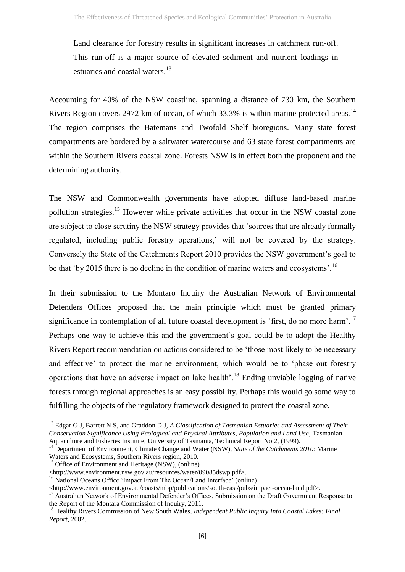Land clearance for forestry results in significant increases in catchment run-off. This run-off is a major source of elevated sediment and nutrient loadings in estuaries and coastal waters.<sup>13</sup>

Accounting for 40% of the NSW coastline, spanning a distance of 730 km, the Southern Rivers Region covers 2972 km of ocean, of which  $33.3\%$  is within marine protected areas.<sup>14</sup> The region comprises the Batemans and Twofold Shelf bioregions. Many state forest compartments are bordered by a saltwater watercourse and 63 state forest compartments are within the Southern Rivers coastal zone. Forests NSW is in effect both the proponent and the determining authority.

The NSW and Commonwealth governments have adopted diffuse land-based marine pollution strategies.<sup>15</sup> However while private activities that occur in the NSW coastal zone are subject to close scrutiny the NSW strategy provides that 'sources that are already formally regulated, including public forestry operations,' will not be covered by the strategy. Conversely the State of the Catchments Report 2010 provides the NSW government's goal to be that 'by 2015 there is no decline in the condition of marine waters and ecosystems'.<sup>16</sup>

In their submission to the Montaro Inquiry the Australian Network of Environmental Defenders Offices proposed that the main principle which must be granted primary significance in contemplation of all future coastal development is 'first, do no more harm'.<sup>17</sup> Perhaps one way to achieve this and the government's goal could be to adopt the Healthy Rivers Report recommendation on actions considered to be 'those most likely to be necessary and effective' to protect the marine environment, which would be to 'phase out forestry operations that have an adverse impact on lake health'.<sup>18</sup> Ending unviable logging of native forests through regional approaches is an easy possibility. Perhaps this would go some way to fulfilling the objects of the regulatory framework designed to protect the coastal zone.

 $\overline{a}$ 

<sup>13</sup> Edgar G J, Barrett N S, and Graddon D J, *A Classification of Tasmanian Estuaries and Assessment of Their Conservation Significance Using Ecological and Physical Attributes, Population and Land Use*, Tasmanian Aquaculture and Fisheries Institute, University of Tasmania, Technical Report No 2, (1999).

<sup>&</sup>lt;sup>14</sup> Department of Environment, Climate Change and Water (NSW), *State of the Catchments 2010*: Marine Waters and Ecosystems, Southern Rivers region, 2010.

 $15$  Office of Environment and Heritage (NSW), (online)

<sup>&</sup>lt;http://www.environment.nsw.gov.au/resources/water/09085dswp.pdf>.

<sup>&</sup>lt;sup>16</sup> National Oceans Office 'Impact From The Ocean/Land Interface' (online)

<sup>&</sup>lt;http://www.environment.gov.au/coasts/mbp/publications/south-east/pubs/impact-ocean-land.pdf>.

<sup>&</sup>lt;sup>17</sup> Australian Network of Environmental Defender's Offices, Submission on the Draft Government Response to the Report of the Montara Commission of Inquiry, 2011.

<sup>18</sup> Healthy Rivers Commission of New South Wales, *Independent Public Inquiry Into Coastal Lakes: Final Report*, 2002.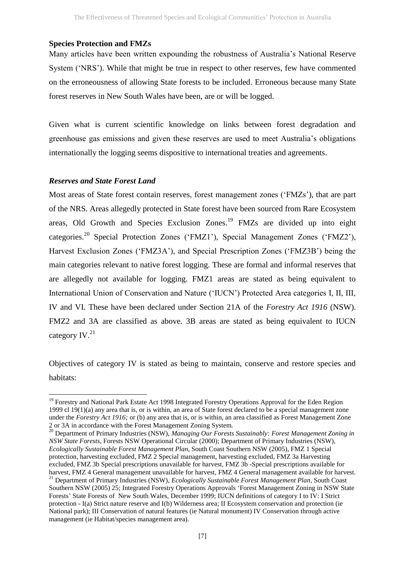#### **Species Protection and FMZs**

Many articles have been written expounding the robustness of Australia's National Reserve System ('NRS'). While that might be true in respect to other reserves, few have commented on the erroneousness of allowing State forests to be included. Erroneous because many State forest reserves in New South Wales have been, are or will be logged.

Given what is current scientific knowledge on links between forest degradation and greenhouse gas emissions and given these reserves are used to meet Australia's obligations internationally the logging seems dispositive to international treaties and agreements.

#### *Reserves and State Forest Land*

**.** 

<span id="page-6-0"></span>Most areas of State forest contain reserves, forest management zones ('FMZs'), that are part of the NRS. Areas allegedly protected in State forest have been sourced from Rare Ecosystem areas, Old Growth and Species Exclusion Zones.<sup>19</sup> FMZs are divided up into eight categories.<sup>20</sup> Special Protection Zones ('FMZ1'), Special Management Zones ('FMZ2'), Harvest Exclusion Zones ('FMZ3A'), and Special Prescription Zones ('FMZ3B') being the main categories relevant to native forest logging. These are formal and informal reserves that are allegedly not available for logging. FMZ1 areas are stated as being equivalent to International Union of Conservation and Nature ('IUCN') Protected Area categories I, II, III, IV and VI. These have been declared under Section 21A of the *Forestry Act 1916* (NSW). FMZ2 and 3A are classified as above. 3B areas are stated as being equivalent to IUCN category IV.<sup>21</sup>

<span id="page-6-1"></span>Objectives of category IV is stated as being to maintain, conserve and restore species and habitats:

<sup>&</sup>lt;sup>19</sup> Forestry and National Park Estate Act 1998 Integrated Forestry Operations Approval for the Eden Region 1999 cl  $19(1)(a)$  any area that is, or is within, an area of State forest declared to be a special management zone under the *Forestry Act 1916;* or (b) any area that is, or is within, an area classified as Forest Management Zone 2 or 3A in accordance with the Forest Management Zoning System.

<sup>20</sup> Department of Primary Industries (NSW), *Managing Our Forests Sustainably: Forest Management Zoning in NSW State Forests*, Forests NSW Operational Circular (2000); Department of Primary Industries (NSW), *Ecologically Sustainable Forest Management Plan*, South Coast Southern NSW (2005), FMZ 1 Special protection, harvesting excluded, FMZ 2 Special management, harvesting excluded, FMZ 3a Harvesting excluded, FMZ 3b Special prescriptions unavailable for harvest, FMZ 3b -Special prescriptions available for harvest, FMZ 4 General management unavailable for harvest, FMZ 4 General management available for harvest. <sup>21</sup> Department of Primary Industries (NSW), *Ecologically Sustainable Forest Management Plan*, South Coast Southern NSW (2005) 25; Integrated Forestry Operations Approvals 'Forest Management Zoning in NSW State Forests' State Forests of New South Wales, December 1999; IUCN definitions of category I to IV: I Strict protection - I(a) Strict nature reserve and I(b) Wilderness area; II Ecosystem conservation and protection (ie National park); III Conservation of natural features (ie Natural monument) IV Conservation through active management (ie Habitat/species management area).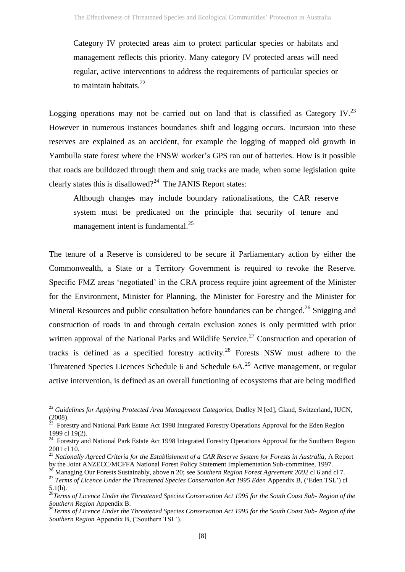<span id="page-7-0"></span>Category IV protected areas aim to protect particular species or habitats and management reflects this priority. Many category IV protected areas will need regular, active interventions to address the requirements of particular species or to maintain habitats.<sup>22</sup>

Logging operations may not be carried out on land that is classified as Category IV.<sup>23</sup> However in numerous instances boundaries shift and logging occurs. Incursion into these reserves are explained as an accident, for example the logging of mapped old growth in Yambulla state forest where the FNSW worker's GPS ran out of batteries. How is it possible that roads are bulldozed through them and snig tracks are made, when some legislation quite clearly states this is disallowed? $24$  The JANIS Report states:

<span id="page-7-1"></span>Although changes may include boundary rationalisations, the CAR reserve system must be predicated on the principle that security of tenure and management intent is fundamental.<sup>25</sup>

The tenure of a Reserve is considered to be secure if Parliamentary action by either the Commonwealth, a State or a Territory Government is required to revoke the Reserve. Specific FMZ areas 'negotiated' in the CRA process require joint agreement of the Minister for the Environment, Minister for Planning, the Minister for Forestry and the Minister for Mineral Resources and public consultation before boundaries can be changed.<sup>26</sup> Snigging and construction of roads in and through certain exclusion zones is only permitted with prior written approval of the National Parks and Wildlife Service.<sup>27</sup> Construction and operation of tracks is defined as a specified forestry activity.<sup>28</sup> Forests NSW must adhere to the Threatened Species Licences Schedule 6 and Schedule 6A.<sup>29</sup> Active management, or regular active intervention, is defined as an overall functioning of ecosystems that are being modified

1

<sup>&</sup>lt;sup>22</sup> Guidelines for Applying Protected Area Management Categories, Dudley N [ed], Gland, Switzerland, IUCN, (2008).<br><sup>23</sup> Forestry and National Park Estate Act 1998 Integrated Forestry Operations Approval for the Eden Region

<sup>1999</sup> cl 19(2).

<sup>&</sup>lt;sup>24</sup> Forestry and National Park Estate Act 1998 Integrated Forestry Operations Approval for the Southern Region 2001 cl 10.

<sup>&</sup>lt;sup>25</sup> Nationally Agreed Criteria for the Establishment of a CAR Reserve System for Forests in Australia, A Report by the Joint ANZECC/MCFFA National Forest Policy Statement Implementation Sub-committee, 1997.

<sup>26</sup> Managing Our Forests Sustainably, above n [20;](#page-6-0) see *Southern Region Forest Agreement 2002* cl 6 and cl 7.

<sup>&</sup>lt;sup>27</sup> Terms of Licence Under the Threatened Species Conservation Act 1995 Eden Appendix B, ('Eden TSL') cl 5.1(b).

<sup>28</sup>*Terms of Licence Under the Threatened Species Conservation Act 1995 for the South Coast Sub- Region of the Southern Region* Appendix B.

<sup>29</sup>*Terms of Licence Under the Threatened Species Conservation Act 1995 for the South Coast Sub- Region of the Southern Region* Appendix B, ('Southern TSL').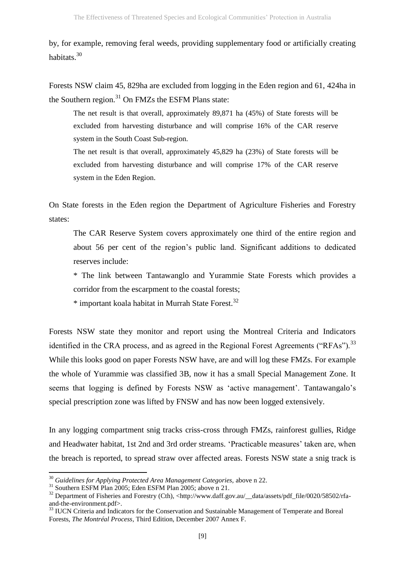by, for example, removing feral weeds, providing supplementary food or artificially creating habitats.<sup>30</sup>

Forests NSW claim 45, 829ha are excluded from logging in the Eden region and 61, 424ha in the Southern region.<sup>31</sup> On FMZs the ESFM Plans state:

The net result is that overall, approximately 89,871 ha (45%) of State forests will be excluded from harvesting disturbance and will comprise 16% of the CAR reserve system in the South Coast Sub-region.

The net result is that overall, approximately 45,829 ha (23%) of State forests will be excluded from harvesting disturbance and will comprise 17% of the CAR reserve system in the Eden Region.

On State forests in the Eden region the Department of Agriculture Fisheries and Forestry states:

The CAR Reserve System covers approximately one third of the entire region and about 56 per cent of the region's public land. Significant additions to dedicated reserves include:

\* The link between Tantawanglo and Yurammie State Forests which provides a corridor from the escarpment to the coastal forests;

 $*$  important koala habitat in Murrah State Forest.<sup>32</sup>

Forests NSW state they monitor and report using the Montreal Criteria and Indicators identified in the CRA process, and as agreed in the Regional Forest Agreements ("RFAs").<sup>33</sup> While this looks good on paper Forests NSW have, are and will log these FMZs. For example the whole of Yurammie was classified 3B, now it has a small Special Management Zone. It seems that logging is defined by Forests NSW as 'active management'. Tantawangalo's special prescription zone was lifted by FNSW and has now been logged extensively.

In any logging compartment snig tracks criss-cross through FMZs, rainforest gullies, Ridge and Headwater habitat, 1st 2nd and 3rd order streams. 'Practicable measures' taken are, when the breach is reported, to spread straw over affected areas. Forests NSW state a snig track is

1

<sup>&</sup>lt;sup>30</sup> Guidelines for Applying Protected Area Management Categories, above n [22.](#page-7-0)

<sup>&</sup>lt;sup>31</sup> Southern ESFM Plan 2005; Eden ESFM Plan 2005; above n [21.](#page-6-1)

<sup>&</sup>lt;sup>32</sup> Department of Fisheries and Forestry (Cth), <http://www.daff.gov.au/\_data/assets/pdf\_file/0020/58502/rfaand-the-environment.pdf>.

<sup>&</sup>lt;sup>33</sup> IUCN Criteria and Indicators for the Conservation and Sustainable Management of Temperate and Boreal Forests, *The Montréal Process,* Third Edition, December 2007 Annex F.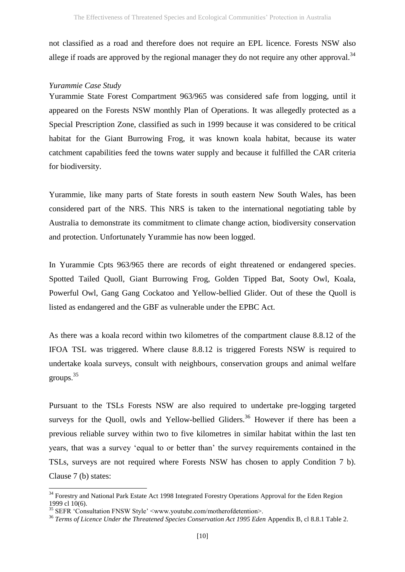not classified as a road and therefore does not require an EPL licence. Forests NSW also allege if roads are approved by the regional manager they do not require any other approval.<sup>34</sup>

# *Yurammie Case Study*

Yurammie State Forest Compartment 963/965 was considered safe from logging, until it appeared on the Forests NSW monthly Plan of Operations. It was allegedly protected as a Special Prescription Zone, classified as such in 1999 because it was considered to be critical habitat for the Giant Burrowing Frog, it was known koala habitat, because its water catchment capabilities feed the towns water supply and because it fulfilled the CAR criteria for biodiversity.

Yurammie, like many parts of State forests in south eastern New South Wales, has been considered part of the NRS. This NRS is taken to the international negotiating table by Australia to demonstrate its commitment to climate change action, biodiversity conservation and protection. Unfortunately Yurammie has now been logged.

In Yurammie Cpts 963/965 there are records of eight threatened or endangered species. Spotted Tailed Quoll, Giant Burrowing Frog, Golden Tipped Bat, Sooty Owl, Koala, Powerful Owl, Gang Gang Cockatoo and Yellow-bellied Glider. Out of these the Quoll is listed as endangered and the GBF as vulnerable under the EPBC Act.

As there was a koala record within two kilometres of the compartment clause 8.8.12 of the IFOA TSL was triggered. Where clause 8.8.12 is triggered Forests NSW is required to undertake koala surveys, consult with neighbours, conservation groups and animal welfare groups. 35

Pursuant to the TSLs Forests NSW are also required to undertake pre-logging targeted surveys for the Quoll, owls and Yellow-bellied Gliders.<sup>36</sup> However if there has been a previous reliable survey within two to five kilometres in similar habitat within the last ten years, that was a survey 'equal to or better than' the survey requirements contained in the TSLs, surveys are not required where Forests NSW has chosen to apply Condition 7 b). Clause 7 (b) states:

<sup>&</sup>lt;sup>34</sup> Forestry and National Park Estate Act 1998 Integrated Forestry Operations Approval for the Eden Region 1999 cl 10(6).

<sup>&</sup>lt;sup>35</sup> SEFR 'Consultation FNSW Style'  $\leq$ www.youtube.com/motherofdetention>

<sup>&</sup>lt;sup>36</sup> Terms of Licence Under the Threatened Species Conservation Act 1995 Eden Appendix B, cl 8.8.1 Table 2.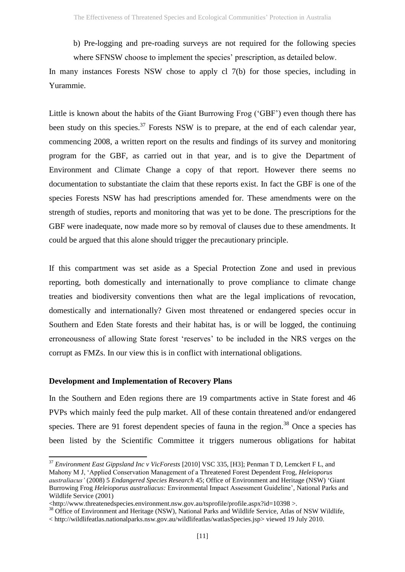b) Pre-logging and pre-roading surveys are not required for the following species where SFNSW choose to implement the species' prescription, as detailed below.

In many instances Forests NSW chose to apply cl 7(b) for those species, including in Yurammie.

Little is known about the habits of the Giant Burrowing Frog ('GBF') even though there has been study on this species.<sup>37</sup> Forests NSW is to prepare, at the end of each calendar year, commencing 2008, a written report on the results and findings of its survey and monitoring program for the GBF, as carried out in that year, and is to give the Department of Environment and Climate Change a copy of that report. However there seems no documentation to substantiate the claim that these reports exist. In fact the GBF is one of the species Forests NSW has had prescriptions amended for. These amendments were on the strength of studies, reports and monitoring that was yet to be done. The prescriptions for the GBF were inadequate, now made more so by removal of clauses due to these amendments. It could be argued that this alone should trigger the precautionary principle.

If this compartment was set aside as a Special Protection Zone and used in previous reporting, both domestically and internationally to prove compliance to climate change treaties and biodiversity conventions then what are the legal implications of revocation, domestically and internationally? Given most threatened or endangered species occur in Southern and Eden State forests and their habitat has, is or will be logged, the continuing erroneousness of allowing State forest 'reserves' to be included in the NRS verges on the corrupt as FMZs. In our view this is in conflict with international obligations.

# **Development and Implementation of Recovery Plans**

**.** 

In the Southern and Eden regions there are 19 compartments active in State forest and 46 PVPs which mainly feed the pulp market. All of these contain threatened and/or endangered species. There are 91 forest dependent species of fauna in the region.<sup>38</sup> Once a species has been listed by the Scientific Committee it triggers numerous obligations for habitat

<sup>37</sup> *Environment East Gippsland Inc v VicForests* [2010] VSC 335, [H3]; Penman T D, Lemckert F L, and Mahony M J, 'Applied Conservation Management of a Threatened Forest Dependent Frog, *Heleioporus australiacus'* (2008) 5 *Endangered Species Research* 45; Office of Environment and Heritage (NSW) 'Giant Burrowing Frog *Heleioporus australiacus:* Environmental Impact Assessment Guideline'*,* National Parks and Wildlife Service (2001)

<sup>&</sup>lt;http://www.threatenedspecies.environment.nsw.gov.au/tsprofile/profile.aspx?id=10398 >.

<sup>&</sup>lt;sup>38</sup> Office of Environment and Heritage (NSW), National Parks and Wildlife Service, Atlas of NSW Wildlife,

<sup>&</sup>lt; [http://wildlifeatlas.nationalparks.nsw.gov.au/wildlifeatlas/watlasSpecies.jsp>](http://wildlifeatlas.nationalparks.nsw.gov.au/wildlifeatlas/watlasSpecies.jsp) viewed 19 July 2010.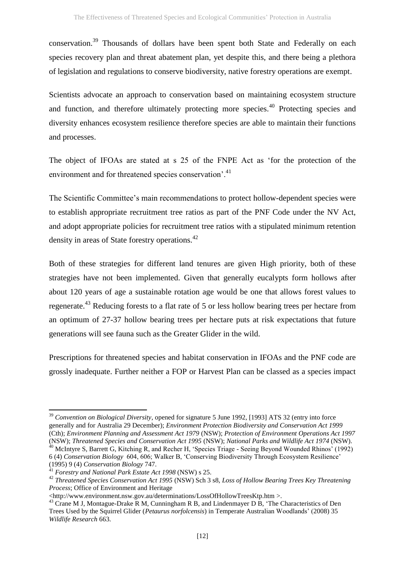conservation.<sup>39</sup> Thousands of dollars have been spent both State and Federally on each species recovery plan and threat abatement plan, yet despite this, and there being a plethora of legislation and regulations to conserve biodiversity, native forestry operations are exempt.

Scientists advocate an approach to conservation based on maintaining ecosystem structure and function, and therefore ultimately protecting more species.<sup>40</sup> Protecting species and diversity enhances ecosystem resilience therefore species are able to maintain their functions and processes.

The object of IFOAs are stated at s 25 of the FNPE Act as 'for the protection of the environment and for threatened species conservation<sup>'.41</sup>

The Scientific Committee's main recommendations to protect hollow-dependent species were to establish appropriate recruitment tree ratios as part of the PNF Code under the NV Act, and adopt appropriate policies for recruitment tree ratios with a stipulated minimum retention density in areas of State forestry operations.<sup>42</sup>

Both of these strategies for different land tenures are given High priority, both of these strategies have not been implemented. Given that generally eucalypts form hollows after about 120 years of age a sustainable rotation age would be one that allows forest values to regenerate.<sup>43</sup> Reducing forests to a flat rate of 5 or less hollow bearing trees per hectare from an optimum of 27-37 hollow bearing trees per hectare puts at risk expectations that future generations will see fauna such as the Greater Glider in the wild.

Prescriptions for threatened species and habitat conservation in IFOAs and the PNF code are grossly inadequate. Further neither a FOP or Harvest Plan can be classed as a species impact

<sup>39</sup> *Convention on Biological Diversity*, opened for signature 5 June 1992, [1993] ATS 32 (entry into force generally and for Australia 29 December); *Environment Protection Biodiversity and Conservation Act 1999*  (Cth); *Environment Planning and Assessment Act 1979* (NSW); *Protection of Environment Operations Act 1997* (NSW); *Threatened Species and Conservation Act 1995* (NSW); *National Parks and Wildlife Act 1974* (NSW). <sup>40</sup> McIntyre S, Barrett G, Kitching R, and Recher H, 'Species Triage - Seeing Beyond Wounded Rhinos' (1992)

<sup>6 (4)</sup> *Conservation Biology* 604, 606; Walker B, 'Conserving Biodiversity Through Ecosystem Resilience' (1995) 9 (4) *Conservation Biology* 747.

<sup>41</sup> *Forestry and National Park Estate Act 1998* (NSW) s 25.

<sup>42</sup> *Threatened Species Conservation Act 1995* (NSW) Sch 3 s8, *Loss of Hollow Bearing Trees Key Threatening Process*; Office of Environment and Heritage

[<sup>&</sup>lt;http://www.environment.nsw.gov.au/determinations/LossOfHollowTreesKtp.htm](http://www.environment.nsw.gov.au/determinations/LossOfHollowTreesKtp.htm) >.

<sup>&</sup>lt;sup>43</sup> Crane M J, Montague-Drake R M, Cunningham R B, and Lindenmayer D B, 'The Characteristics of Den Trees Used by the Squirrel Glider (*Petaurus norfolcensis*) in Temperate Australian Woodlands' (2008) 35 *Wildlife Research* 663.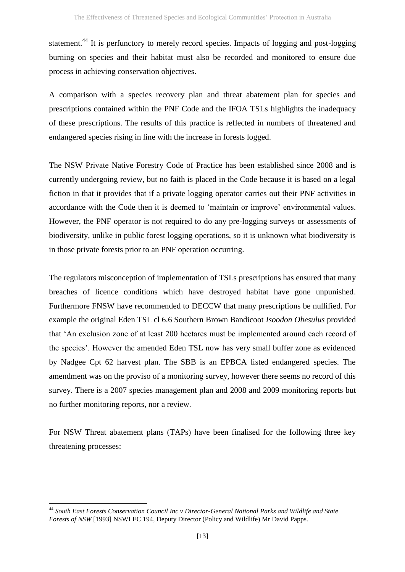statement.<sup>44</sup> It is perfunctory to merely record species. Impacts of logging and post-logging burning on species and their habitat must also be recorded and monitored to ensure due process in achieving conservation objectives.

A comparison with a species recovery plan and threat abatement plan for species and prescriptions contained within the PNF Code and the IFOA TSLs highlights the inadequacy of these prescriptions. The results of this practice is reflected in numbers of threatened and endangered species rising in line with the increase in forests logged.

The NSW Private Native Forestry Code of Practice has been established since 2008 and is currently undergoing review, but no faith is placed in the Code because it is based on a legal fiction in that it provides that if a private logging operator carries out their PNF activities in accordance with the Code then it is deemed to 'maintain or improve' environmental values. However, the PNF operator is not required to do any pre-logging surveys or assessments of biodiversity, unlike in public forest logging operations, so it is unknown what biodiversity is in those private forests prior to an PNF operation occurring.

The regulators misconception of implementation of TSLs prescriptions has ensured that many breaches of licence conditions which have destroyed habitat have gone unpunished. Furthermore FNSW have recommended to DECCW that many prescriptions be nullified. For example the original Eden TSL cl 6.6 Southern Brown Bandicoot *Isoodon Obesulus* provided that 'An exclusion zone of at least 200 hectares must be implemented around each record of the species'. However the amended Eden TSL now has very small buffer zone as evidenced by Nadgee Cpt 62 harvest plan. The SBB is an EPBCA listed endangered species. The amendment was on the proviso of a monitoring survey, however there seems no record of this survey. There is a 2007 species management plan and 2008 and 2009 monitoring reports but no further monitoring reports, nor a review.

For NSW Threat abatement plans (TAPs) have been finalised for the following three key threatening processes:

**<sup>.</sup>** <sup>44</sup> *South East Forests Conservation Council Inc v Director-General National Parks and Wildlife and State Forests of NSW* [1993] NSWLEC 194, Deputy Director (Policy and Wildlife) Mr David Papps.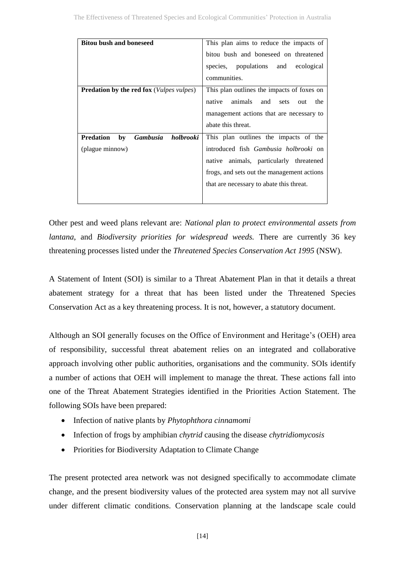| <b>Bitou bush and boneseed</b>                           | This plan aims to reduce the impacts of        |
|----------------------------------------------------------|------------------------------------------------|
|                                                          | bitou bush and boneseed on threatened          |
|                                                          | species, populations and<br>ecological         |
|                                                          | communities.                                   |
| <b>Predation by the red fox</b> ( <i>Vulpes vulpes</i> ) | This plan outlines the impacts of foxes on     |
|                                                          | animals<br>native<br>and<br>sets<br>the<br>out |
|                                                          | management actions that are necessary to       |
|                                                          | abate this threat.                             |
| <b>Gambusia</b><br><b>Predation</b><br>holbrooki<br>by   | This plan outlines the impacts of the          |
| (plague minnow)                                          | introduced fish Gambusia holbrooki on          |
|                                                          | native animals, particularly threatened        |
|                                                          | frogs, and sets out the management actions     |
|                                                          | that are necessary to abate this threat.       |
|                                                          |                                                |

Other pest and weed plans relevant are: *National plan to protect environmental assets from lantana*, and *Biodiversity priorities for widespread weeds.* There are currently 36 key threatening processes listed under the *Threatened Species Conservation Act 1995* (NSW).

A Statement of Intent (SOI) is similar to a Threat Abatement Plan in that it details a threat abatement strategy for a threat that has been listed under the Threatened Species Conservation Act as a key threatening process. It is not, however, a statutory document.

Although an SOI generally focuses on the Office of Environment and Heritage's (OEH) area of responsibility, successful threat abatement relies on an integrated and collaborative approach involving other public authorities, organisations and the community. SOIs identify a number of actions that OEH will implement to manage the threat. These actions fall into one of the Threat Abatement Strategies identified in the Priorities Action Statement. The following SOIs have been prepared:

- Infection of native plants by *Phytophthora cinnamomi*
- Infection of frogs by amphibian *chytrid* causing the disease *chytridiomycosis*
- Priorities for Biodiversity Adaptation to Climate Change

The present protected area network was not designed specifically to accommodate climate change, and the present biodiversity values of the protected area system may not all survive under different climatic conditions. Conservation planning at the landscape scale could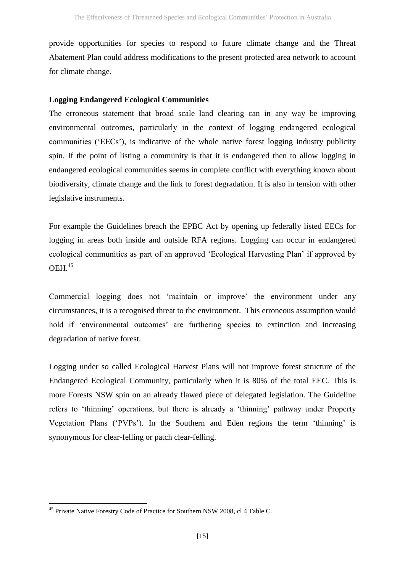provide opportunities for species to respond to future climate change and the Threat Abatement Plan could address modifications to the present protected area network to account for climate change.

# **Logging Endangered Ecological Communities**

The erroneous statement that broad scale land clearing can in any way be improving environmental outcomes, particularly in the context of logging endangered ecological communities ('EECs'), is indicative of the whole native forest logging industry publicity spin. If the point of listing a community is that it is endangered then to allow logging in endangered ecological communities seems in complete conflict with everything known about biodiversity, climate change and the link to forest degradation. It is also in tension with other legislative instruments.

For example the Guidelines breach the EPBC Act by opening up federally listed EECs for logging in areas both inside and outside RFA regions. Logging can occur in endangered ecological communities as part of an approved 'Ecological Harvesting Plan' if approved by OEH. 45

Commercial logging does not 'maintain or improve' the environment under any circumstances, it is a recognised threat to the environment. This erroneous assumption would hold if 'environmental outcomes' are furthering species to extinction and increasing degradation of native forest.

Logging under so called Ecological Harvest Plans will not improve forest structure of the Endangered Ecological Community, particularly when it is 80% of the total EEC. This is more Forests NSW spin on an already flawed piece of delegated legislation. The Guideline refers to 'thinning' operations, but there is already a 'thinning' pathway under Property Vegetation Plans ('PVPs'). In the Southern and Eden regions the term 'thinning' is synonymous for clear-felling or patch clear-felling.

1

<sup>&</sup>lt;sup>45</sup> Private Native Forestry Code of Practice for Southern NSW 2008, cl 4 Table C.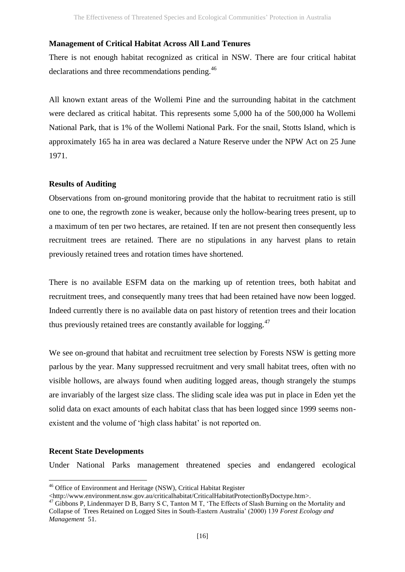#### **Management of Critical Habitat Across All Land Tenures**

There is not enough habitat recognized as critical in NSW. There are four critical habitat declarations and three recommendations pending.<sup>46</sup>

All known extant areas of the Wollemi Pine and the surrounding habitat in the catchment were declared as critical habitat. This represents some 5,000 ha of the 500,000 ha Wollemi National Park, that is 1% of the Wollemi National Park. For the snail, Stotts Island, which is approximately 165 ha in area was declared a Nature Reserve under the NPW Act on 25 June 1971.

#### **Results of Auditing**

Observations from on-ground monitoring provide that the habitat to recruitment ratio is still one to one, the regrowth zone is weaker, because only the hollow-bearing trees present, up to a maximum of ten per two hectares, are retained. If ten are not present then consequently less recruitment trees are retained. There are no stipulations in any harvest plans to retain previously retained trees and rotation times have shortened.

There is no available ESFM data on the marking up of retention trees, both habitat and recruitment trees, and consequently many trees that had been retained have now been logged. Indeed currently there is no available data on past history of retention trees and their location thus previously retained trees are constantly available for logging.<sup>47</sup>

We see on-ground that habitat and recruitment tree selection by Forests NSW is getting more parlous by the year. Many suppressed recruitment and very small habitat trees, often with no visible hollows, are always found when auditing logged areas, though strangely the stumps are invariably of the largest size class. The sliding scale idea was put in place in Eden yet the solid data on exact amounts of each habitat class that has been logged since 1999 seems nonexistent and the volume of 'high class habitat' is not reported on.

### **Recent State Developments**

**.** 

Under National Parks management threatened species and endangered ecological

<sup>&</sup>lt;sup>46</sup> Office of Environment and Heritage (NSW), Critical Habitat Register

<sup>&</sup>lt;http://www.environment.nsw.gov.au/criticalhabitat/CriticalHabitatProtectionByDoctype.htm>.

<sup>47</sup> Gibbons P, Lindenmayer D B, Barry S C, Tanton M T, 'The Effects of Slash Burning on the Mortality and Collapse of Trees Retained on Logged Sites in South-Eastern Australia' (2000) 139 *Forest Ecology and Management* 51.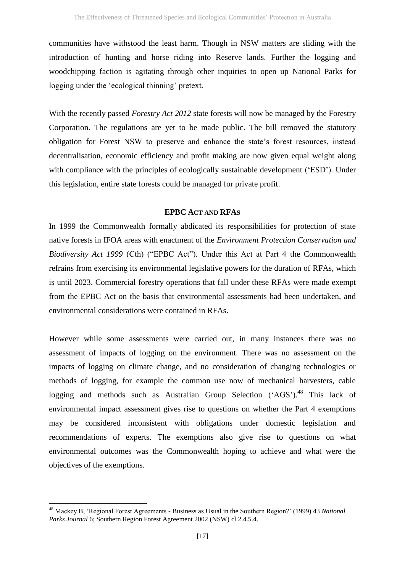communities have withstood the least harm. Though in NSW matters are sliding with the introduction of hunting and horse riding into Reserve lands. Further the logging and woodchipping faction is agitating through other inquiries to open up National Parks for logging under the 'ecological thinning' pretext.

With the recently passed *Forestry Act 2012* state forests will now be managed by the Forestry Corporation. The regulations are yet to be made public. The bill removed the statutory obligation for Forest NSW to preserve and enhance the state's forest resources, instead decentralisation, economic efficiency and profit making are now given equal weight along with compliance with the principles of ecologically sustainable development ('ESD'). Under this legislation, entire state forests could be managed for private profit.

# **EPBC ACT AND RFAS**

In 1999 the Commonwealth formally abdicated its responsibilities for protection of state native forests in IFOA areas with enactment of the *Environment Protection Conservation and Biodiversity Act 1999* (Cth) ("EPBC Act"). Under this Act at Part 4 the Commonwealth refrains from exercising its environmental legislative powers for the duration of RFAs, which is until 2023. Commercial forestry operations that fall under these RFAs were made exempt from the EPBC Act on the basis that environmental assessments had been undertaken, and environmental considerations were contained in RFAs.

However while some assessments were carried out, in many instances there was no assessment of impacts of logging on the environment. There was no assessment on the impacts of logging on climate change, and no consideration of changing technologies or methods of logging, for example the common use now of mechanical harvesters, cable logging and methods such as Australian Group Selection ('AGS').<sup>48</sup> This lack of environmental impact assessment gives rise to questions on whether the Part 4 exemptions may be considered inconsistent with obligations under domestic legislation and recommendations of experts. The exemptions also give rise to questions on what environmental outcomes was the Commonwealth hoping to achieve and what were the objectives of the exemptions.

**<sup>.</sup>** <sup>48</sup> Mackey B, 'Regional Forest Agreements - Business as Usual in the Southern Region?' (1999) 43 *National Parks Journal* 6; Southern Region Forest Agreement 2002 (NSW) cl 2.4.5.4.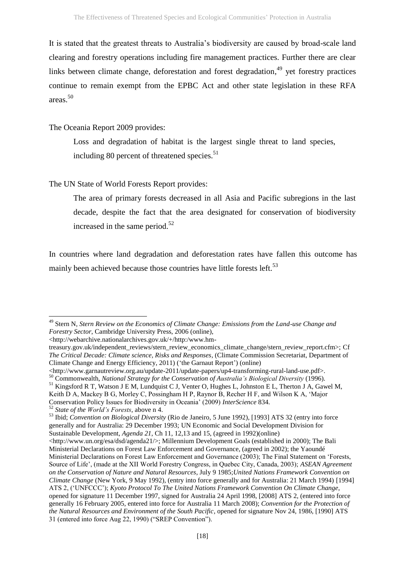It is stated that the greatest threats to Australia's biodiversity are caused by broad-scale land clearing and forestry operations including fire management practices. Further there are clear links between climate change, deforestation and forest degradation,<sup>49</sup> yet forestry practices continue to remain exempt from the EPBC Act and other state legislation in these RFA areas.<sup>50</sup>

The Oceania Report 2009 provides:

Loss and degradation of habitat is the largest single threat to land species, including 80 percent of threatened species. $51$ 

# The UN State of World Forests Report provides:

The area of primary forests decreased in all Asia and Pacific subregions in the last decade, despite the fact that the area designated for conservation of biodiversity increased in the same period. $52$ 

In countries where land degradation and deforestation rates have fallen this outcome has mainly been achieved because those countries have little forests left.<sup>53</sup>

<sup>49</sup> Stern N, *Stern Review on the Economics of Climate Change: Emissions from the Land-use Change and Forestry Sector*, Cambridge University Press, 2006 (online),

<sup>&</sup>lt;http://webarchive.nationalarchives.gov.uk/+/http:/www.hm-

treasury.gov.uk/independent\_reviews/stern\_review\_economics\_climate\_change/stern\_review\_report.cfm>; Cf *The Critical Decade: Climate science, Risks and Responses*, (Climate Commission Secretariat, Department of Climate Change and Energy Efficiency, 2011) ('the Garnaut Report') (online)

<sup>&</sup>lt;http://www.garnautreview.org.au/update-2011/update-papers/up4-transforming-rural-land-use.pdf>.

<sup>50</sup> Commonwealth, *National Strategy for the Conservation of Australia's Biological Diversity* (1996).

<sup>&</sup>lt;sup>51</sup> Kingsford R T, Watson J E M, Lundquist C J, Venter O, Hughes L, Johnston E L, Therton J A, Gawel M,

Keith D A, Mackey B G, Morley C, Possingham H P, Raynor B, Recher H F, and Wilson K A, 'Major Conservation Policy Issues for Biodiversity in Oceania' (2009) *InterScience* 834.

<sup>52</sup> *State of the World's Forests*, above n [4.](#page-2-0)

<sup>53</sup> Ibid; *Convention on Biological Diversity* (Rio de Janeiro, 5 June 1992), [1993] ATS 32 (entry into force generally and for Australia: 29 December 1993; UN Economic and Social Development Division for Sustainable Development, *Agenda 21*, Ch 11, 12,13 and 15, (agreed in 1992)(online)

<sup>&</sup>lt;http://www.un.org/esa/dsd/agenda21/>; Millennium Development Goals (established in 2000); The Bali Ministerial Declarations on Forest Law Enforcement and Governance, (agreed in 2002); the Yaoundé Ministerial Declarations on Forest Law Enforcement and Governance (2003); The Final Statement on 'Forests, Source of Life', (made at the XII World Forestry Congress, in Quebec City, Canada, 2003); *ASEAN Agreement on the Conservation of Nature and Natural Resources*, July 9 1985;*United Nations Framework Convention on Climate Change* (New York, 9 May 1992), (entry into force generally and for Australia: 21 March 1994) [1994] ATS 2, ('UNFCCC'); *Kyoto Protocol To The United Nations Framework Convention On Climate Change,* opened for signature 11 December 1997, signed for Australia 24 April 1998, [2008] ATS 2, (entered into force generally 16 February 2005, entered into force for Australia 11 March 2008); *Convention for the Protection of the Natural Resources and Environment of the South Pacific*, opened for signature Nov 24, 1986, [1990] ATS 31 (entered into force Aug 22, 1990) ("SREP Convention").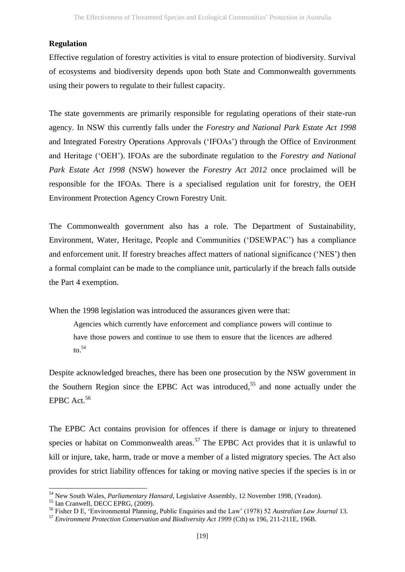# **Regulation**

Effective regulation of forestry activities is vital to ensure protection of biodiversity. Survival of ecosystems and biodiversity depends upon both State and Commonwealth governments using their powers to regulate to their fullest capacity.

The state governments are primarily responsible for regulating operations of their state-run agency. In NSW this currently falls under the *Forestry and National Park Estate Act 1998* and Integrated Forestry Operations Approvals ('IFOAs') through the Office of Environment and Heritage ('OEH'). IFOAs are the subordinate regulation to the *Forestry and National Park Estate Act 1998* (NSW) however the *Forestry Act 2012* once proclaimed will be responsible for the IFOAs. There is a specialised regulation unit for forestry, the OEH Environment Protection Agency Crown Forestry Unit.

The Commonwealth government also has a role. The Department of Sustainability, Environment, Water, Heritage, People and Communities ('DSEWPAC') has a compliance and enforcement unit. If forestry breaches affect matters of national significance ('NES') then a formal complaint can be made to the compliance unit, particularly if the breach falls outside the Part 4 exemption.

When the 1998 legislation was introduced the assurances given were that:

Agencies which currently have enforcement and compliance powers will continue to have those powers and continue to use them to ensure that the licences are adhered  $\mathrm{to}$ .  $54$ 

<span id="page-18-0"></span>Despite acknowledged breaches, there has been one prosecution by the NSW government in the Southern Region since the EPBC Act was introduced, <sup>55</sup> and none actually under the EPBC Act. $56$ 

The EPBC Act contains provision for offences if there is damage or injury to threatened species or habitat on Commonwealth areas.<sup>57</sup> The EPBC Act provides that it is unlawful to kill or injure, take, harm, trade or move a member of a listed migratory species. The Act also provides for strict liability offences for taking or moving native species if the species is in or

<sup>54</sup> New South Wales, *Parliamentary Hansard*, Legislative Assembly, 12 November 1998, (Yeadon).

<sup>55</sup> Ian Cranwell, DECC EPRG, (2009).

<sup>56</sup> Fisher D E, 'Environmental Planning, Public Enquiries and the Law' (1978) 52 *Australian Law Journal* 13.

<sup>57</sup> *Environment Protection Conservation and Biodiversity Act 1999* (Cth) ss 196, 211-211E, 196B.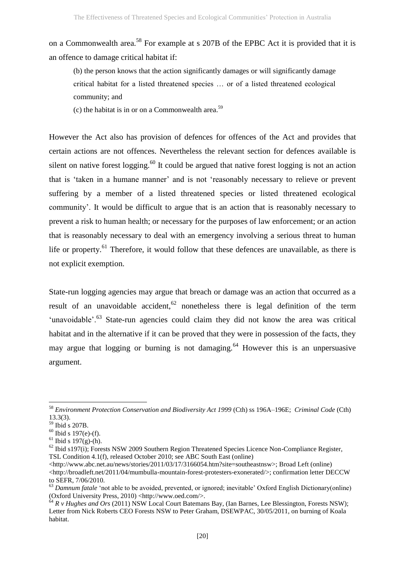on a Commonwealth area.<sup>58</sup> For example at s 207B of the EPBC Act it is provided that it is an offence to damage critical habitat if:

(b) the person knows that the action significantly damages or will significantly damage critical habitat for a listed threatened species … or of a listed threatened ecological community; and

(c) the habitat is in or on a Commonwealth area. $59$ 

However the Act also has provision of defences for offences of the Act and provides that certain actions are not offences. Nevertheless the relevant section for defences available is silent on native forest logging.<sup>60</sup> It could be argued that native forest logging is not an action that is 'taken in a humane manner' and is not 'reasonably necessary to relieve or prevent suffering by a member of a listed threatened species or listed threatened ecological community'. It would be difficult to argue that is an action that is reasonably necessary to prevent a risk to human health; or necessary for the purposes of law enforcement; or an action that is reasonably necessary to deal with an emergency involving a serious threat to human life or property.<sup>61</sup> Therefore, it would follow that these defences are unavailable, as there is not explicit exemption.

State-run logging agencies may argue that breach or damage was an action that occurred as a result of an unavoidable accident,  $62$  nonetheless there is legal definition of the term 'unavoidable'. $^{63}$  State-run agencies could claim they did not know the area was critical habitat and in the alternative if it can be proved that they were in possession of the facts, they may argue that logging or burning is not damaging.<sup>64</sup> However this is an unpersuasive argument.

1

<sup>58</sup> *Environment Protection Conservation and Biodiversity Act 1999* (Cth) ss 196A–196E; *Criminal Code* (Cth) 13.3(3).

<sup>59</sup> Ibid s 207B.

 $60$  Ibid s 197(e)-(f).

 $61$  Ibid s 197(g)-(h).

 $62$  Ibid s197(i); Forests NSW 2009 Southern Region Threatened Species Licence Non-Compliance Register, TSL Condition 4.1(f), released October 2010; see ABC South East (online)

<sup>&</sup>lt;http://www.abc.net.au/news/stories/2011/03/17/3166054.htm?site=southeastnsw>; Broad Left (online) <http://broadleft.net/2011/04/mumbulla-mountain-forest-protesters-exonerated/>; confirmation letter DECCW to SEFR, 7/06/2010.

<sup>&</sup>lt;sup>63</sup> *Damnum fatale* 'not able to be avoided, prevented, or ignored; inevitable' Oxford English Dictionary(online) (Oxford University Press, 2010) <http://www.oed.com/>.

<sup>&</sup>lt;sup>64</sup> R v Hughes and Ors (2011) NSW Local Court Batemans Bay, (Ian Barnes, Lee Blessington, Forests NSW); Letter from Nick Roberts CEO Forests NSW to Peter Graham, DSEWPAC, 30/05/2011, on burning of Koala habitat.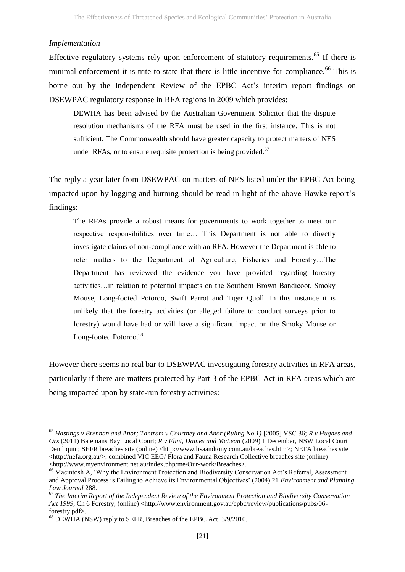#### *Implementation*

1

Effective regulatory systems rely upon enforcement of statutory requirements.<sup>65</sup> If there is minimal enforcement it is trite to state that there is little incentive for compliance.<sup>66</sup> This is borne out by the Independent Review of the EPBC Act's interim report findings on DSEWPAC regulatory response in RFA regions in 2009 which provides:

<span id="page-20-0"></span>DEWHA has been advised by the Australian Government Solicitor that the dispute resolution mechanisms of the RFA must be used in the first instance. This is not sufficient. The Commonwealth should have greater capacity to protect matters of NES under RFAs, or to ensure requisite protection is being provided. $67$ 

The reply a year later from DSEWPAC on matters of NES listed under the EPBC Act being impacted upon by logging and burning should be read in light of the above Hawke report's findings:

The RFAs provide a robust means for governments to work together to meet our respective responsibilities over time… This Department is not able to directly investigate claims of non-compliance with an RFA. However the Department is able to refer matters to the Department of Agriculture, Fisheries and Forestry…The Department has reviewed the evidence you have provided regarding forestry activities…in relation to potential impacts on the Southern Brown Bandicoot, Smoky Mouse, Long-footed Potoroo, Swift Parrot and Tiger Quoll. In this instance it is unlikely that the forestry activities (or alleged failure to conduct surveys prior to forestry) would have had or will have a significant impact on the Smoky Mouse or Long-footed Potoroo.<sup>68</sup>

However there seems no real bar to DSEWPAC investigating forestry activities in RFA areas, particularly if there are matters protected by Part 3 of the EPBC Act in RFA areas which are being impacted upon by state-run forestry activities:

<sup>&</sup>lt;sup>65</sup> Hastings v Brennan and Anor; Tantram v Courtney and Anor (Ruling No 1) [2005] VSC 36; R v Hughes and *Ors* (2011) Batemans Bay Local Court; *R v Flint, Daines and McLean* (2009) 1 December, NSW Local Court Deniliquin; SEFR breaches site (online) <http://www.lisaandtony.com.au/breaches.htm>; NEFA breaches site <http://nefa.org.au/>; combined VIC EEG/ Flora and Fauna Research Collective breaches site (online) <http://www.myenvironment.net.au/index.php/me/Our-work/Breaches>.

<sup>&</sup>lt;sup>66</sup> Macintosh A, 'Why the Environment Protection and Biodiversity Conservation Act's Referral, Assessment and Approval Process is Failing to Achieve its Environmental Objectives' (2004) 21 *Environment and Planning Law Journal* 288.

<sup>67</sup> *The Interim Report of the Independent Review of the Environment Protection and Biodiversity Conservation Act 1999,* Ch 6 Forestry, (online) <http://www.environment.gov.au/epbc/review/publications/pubs/06forestry.pdf>.

<sup>68</sup> DEWHA (NSW) reply to SEFR, Breaches of the EPBC Act, 3/9/2010.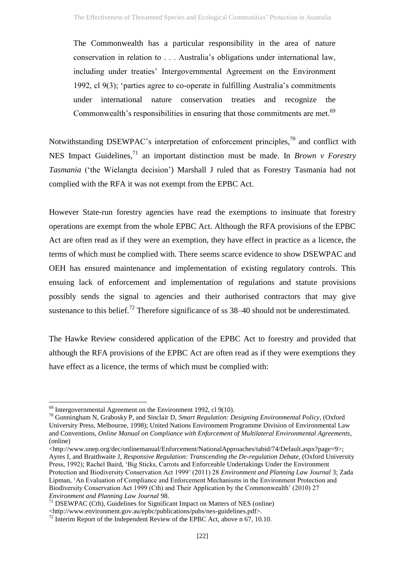The Commonwealth has a particular responsibility in the area of nature conservation in relation to . . . Australia's obligations under international law, including under treaties' Intergovernmental Agreement on the Environment 1992, cl 9(3); 'parties agree to co-operate in fulfilling Australia's commitments under international nature conservation treaties and recognize the Commonwealth's responsibilities in ensuring that those commitments are met.<sup>69</sup>

Notwithstanding DSEWPAC's interpretation of enforcement principles,<sup>70</sup> and conflict with NES Impact Guidelines,<sup>71</sup> an important distinction must be made. In *Brown v Forestry Tasmania* ('the Wielangta decision') Marshall J ruled that as Forestry Tasmania had not complied with the RFA it was not exempt from the EPBC Act.

However State-run forestry agencies have read the exemptions to insinuate that forestry operations are exempt from the whole EPBC Act. Although the RFA provisions of the EPBC Act are often read as if they were an exemption, they have effect in practice as a licence, the terms of which must be complied with. There seems scarce evidence to show DSEWPAC and OEH has ensured maintenance and implementation of existing regulatory controls. This ensuing lack of enforcement and implementation of regulations and statute provisions possibly sends the signal to agencies and their authorised contractors that may give sustenance to this belief.<sup>72</sup> Therefore significance of ss  $38-40$  should not be underestimated.

The Hawke Review considered application of the EPBC Act to forestry and provided that although the RFA provisions of the EPBC Act are often read as if they were exemptions they have effect as a licence, the terms of which must be complied with:

1

<http://www.unep.org/dec/onlinemanual/Enforcement/NationalApproaches/tabid/74/Default.aspx?page=9>; Ayres I, and Braithwaite J, *Responsive Regulation: Transcending the De-regulation Debate*, (Oxford University Press, 1992); Rachel Baird, 'Big Sticks, Carrots and Enforceable Undertakings Under the Environment Protection and Biodiversity Conservation Act 1999' (2011) 28 *Environment and Planning Law Journal* 3; Zada Lipman, 'An Evaluation of Compliance and Enforcement Mechanisms in the Environment Protection and Biodiversity Conservation Act 1999 (Cth) and Their Application by the Commonwealth' (2010) 27 *Environment and Planning Law Journal* 98.

 $69$  Intergovernmental Agreement on the Environment 1992, cl 9(10).

<sup>70</sup> Gunningham N, Grabosky P, and Sinclair D, *Smart Regulation: Designing Environmental Policy*, (Oxford University Press, Melbourne, 1998); United Nations Environment Programme Division of Environmental Law and Conventions, *Online Manual on Compliance with Enforcement of Multilateral Environmental Agreements*, (online)

 $71$  DSEWPAC (Cth), Guidelines for Significant Impact on Matters of NES (online)

<sup>&</sup>lt;http://www.environment.gov.au/epbc/publications/pubs/nes-guidelines.pdf>.

<sup>&</sup>lt;sup>72</sup> Interim Report of the Independent Review of the EPBC Act, above n [67,](#page-20-0) 10.10.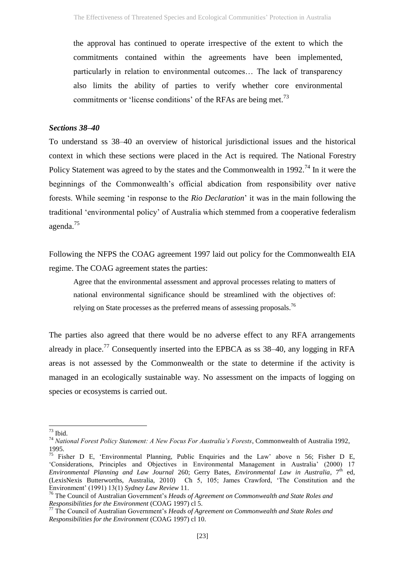the approval has continued to operate irrespective of the extent to which the commitments contained within the agreements have been implemented, particularly in relation to environmental outcomes… The lack of transparency also limits the ability of parties to verify whether core environmental commitments or 'license conditions' of the RFAs are being met.<sup>73</sup>

#### *Sections 38–40*

To understand ss 38–40 an overview of historical jurisdictional issues and the historical context in which these sections were placed in the Act is required. The National Forestry Policy Statement was agreed to by the states and the Commonwealth in 1992.<sup>74</sup> In it were the beginnings of the Commonwealth's official abdication from responsibility over native forests. While seeming 'in response to the *Rio Declaration*' it was in the main following the traditional 'environmental policy' of Australia which stemmed from a cooperative federalism agenda.<sup>75</sup>

Following the NFPS the COAG agreement 1997 laid out policy for the Commonwealth EIA regime. The COAG agreement states the parties:

Agree that the environmental assessment and approval processes relating to matters of national environmental significance should be streamlined with the objectives of: relying on State processes as the preferred means of assessing proposals.<sup>76</sup>

The parties also agreed that there would be no adverse effect to any RFA arrangements already in place.<sup>77</sup> Consequently inserted into the EPBCA as ss  $38-40$ , any logging in RFA areas is not assessed by the Commonwealth or the state to determine if the activity is managed in an ecologically sustainable way. No assessment on the impacts of logging on species or ecosystems is carried out.

1

 $73$  Ibid.

<sup>74</sup> *National Forest Policy Statement: A New Focus For Australia's Forests*, Commonwealth of Australia 1992, 1995.

<sup>75</sup> Fisher D E, 'Environmental Planning, Public Enquiries and the Law' above n [56;](#page-18-0) Fisher D E, 'Considerations, Principles and Objectives in Environmental Management in Australia' (2000) 17 *Environmental Planning and Law Journal 260; Gerry Bates, <i>Environmental Law in Australia*, 7<sup>th</sup> ed, (LexisNexis Butterworths, Australia, 2010) Ch 5, 105; James Crawford, 'The Constitution and the Environment' (1991) 13(1) *Sydney Law Review* 11.

<sup>76</sup> The Council of Australian Government's *Heads of Agreement on Commonwealth and State Roles and Responsibilities for the Environment* (COAG 1997) cl 5.

<sup>77</sup> The Council of Australian Government's *Heads of Agreement on Commonwealth and State Roles and Responsibilities for the Environment* (COAG 1997) cl 10.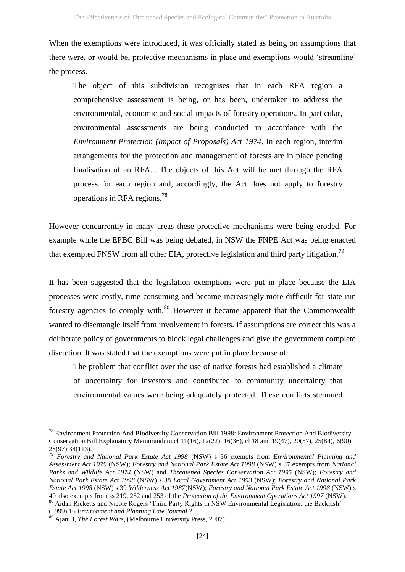When the exemptions were introduced, it was officially stated as being on assumptions that there were, or would be, protective mechanisms in place and exemptions would 'streamline' the process.

The object of this subdivision recognises that in each RFA region a comprehensive assessment is being, or has been, undertaken to address the environmental, economic and social impacts of forestry operations. In particular, environmental assessments are being conducted in accordance with the *Environment Protection (Impact of Proposals) Act 1974*. In each region, interim arrangements for the protection and management of forests are in place pending finalisation of an RFA... The objects of this Act will be met through the RFA process for each region and, accordingly, the Act does not apply to forestry operations in RFA regions.<sup>78</sup>

However concurrently in many areas these protective mechanisms were being eroded. For example while the EPBC Bill was being debated, in NSW the FNPE Act was being enacted that exempted FNSW from all other EIA, protective legislation and third party litigation.<sup>79</sup>

It has been suggested that the legislation exemptions were put in place because the EIA processes were costly, time consuming and became increasingly more difficult for state-run forestry agencies to comply with.<sup>80</sup> However it became apparent that the Commonwealth wanted to disentangle itself from involvement in forests. If assumptions are correct this was a deliberate policy of governments to block legal challenges and give the government complete discretion. It was stated that the exemptions were put in place because of:

The problem that conflict over the use of native forests had established a climate of uncertainty for investors and contributed to community uncertainty that environmental values were being adequately protected. These conflicts stemmed

(1999) 16 *Environment and Planning Law Journal* 2.

1

 $78$  Environment Protection And Biodiversity Conservation Bill 1998: Environment Protection And Biodiversity Conservation Bill Explanatory Memorandum cl 11(16), 12(22), 16(36), cl 18 and 19(47), 20(57), 25(84), 6(90), 28(97) 38(113).

<sup>79</sup> *Forestry and National Park Estate Act 1998* (NSW) s 36 exempts from *Environmental Planning and Assessment Act 1979* (NSW); *Forestry and National Park Estate Act 1998* (NSW) s 37 exempts from *National Parks and Wildlife Act 1974* (NSW) and *Threatened Species Conservation Act 1995* (NSW); *Forestry and National Park Estate Act 1998* (NSW) s 38 *Local Government Act 1993* (NSW); *Forestry and National Park Estate Act 1998* (NSW) s 39 *Wilderness Act 1987*(NSW); *Forestry and National Park Estate Act 1998* (NSW) s 40 also exempts from ss 219, 252 and 253 of the *Protection of the Environment Operations Act 1997* (NSW). <sup>80</sup> Aidan Ricketts and Nicole Rogers 'Third Party Rights in NSW Environmental Legislation: the Backlash'

<sup>80</sup> Ajani J, *The Forest Wars*, (Melbourne University Press, 2007).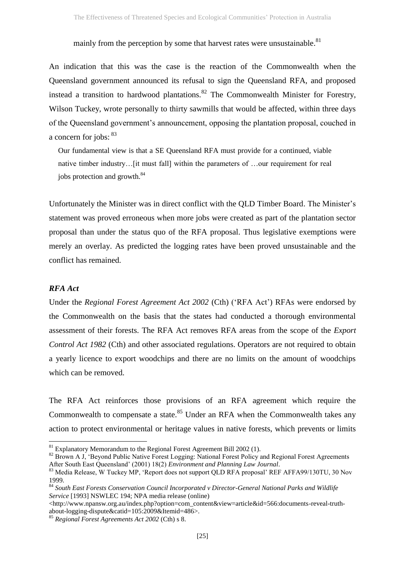mainly from the perception by some that harvest rates were unsustainable.<sup>81</sup>

An indication that this was the case is the reaction of the Commonwealth when the Queensland government announced its refusal to sign the Queensland RFA, and proposed instead a transition to hardwood plantations.  $82$  The Commonwealth Minister for Forestry, Wilson Tuckey, wrote personally to thirty sawmills that would be affected, within three days of the Queensland government's announcement, opposing the plantation proposal, couched in a concern for jobs:  $83$ 

Our fundamental view is that a SE Queensland RFA must provide for a continued, viable native timber industry…[it must fall] within the parameters of …our requirement for real jobs protection and growth.<sup>84</sup>

Unfortunately the Minister was in direct conflict with the QLD Timber Board. The Minister's statement was proved erroneous when more jobs were created as part of the plantation sector proposal than under the status quo of the RFA proposal. Thus legislative exemptions were merely an overlay. As predicted the logging rates have been proved unsustainable and the conflict has remained.

# *RFA Act*

**.** 

Under the *Regional Forest Agreement Act 2002* (Cth) ('RFA Act') RFAs were endorsed by the Commonwealth on the basis that the states had conducted a thorough environmental assessment of their forests. The RFA Act removes RFA areas from the scope of the *Export Control Act 1982* (Cth) and other associated regulations. Operators are not required to obtain a yearly licence to export woodchips and there are no limits on the amount of woodchips which can be removed.

The RFA Act reinforces those provisions of an RFA agreement which require the Commonwealth to compensate a state. $85$  Under an RFA when the Commonwealth takes any action to protect environmental or heritage values in native forests, which prevents or limits

 $81$  Explanatory Memorandum to the Regional Forest Agreement Bill 2002 (1).

<sup>&</sup>lt;sup>82</sup> Brown A J, 'Beyond Public Native Forest Logging: National Forest Policy and Regional Forest Agreements After South East Queensland' (2001) 18(2) *Environment and Planning Law Journal*.

<sup>&</sup>lt;sup>83</sup> Media Release, W Tuckey MP, 'Report does not support QLD RFA proposal' REF AFFA99/130TU, 30 Nov 1999.

<sup>84</sup> *South East Forests Conservation Council Incorporated v Director-General National Parks and Wildlife Service* [1993] NSWLEC 194; NPA media release (online)

<sup>&</sup>lt;http://www.npansw.org.au/index.php?option=com\_content&view=article&id=566:documents-reveal-truthabout-logging-dispute&catid=105:2009&Itemid=486>.

<sup>85</sup> *Regional Forest Agreements Act 2002* (Cth) s 8.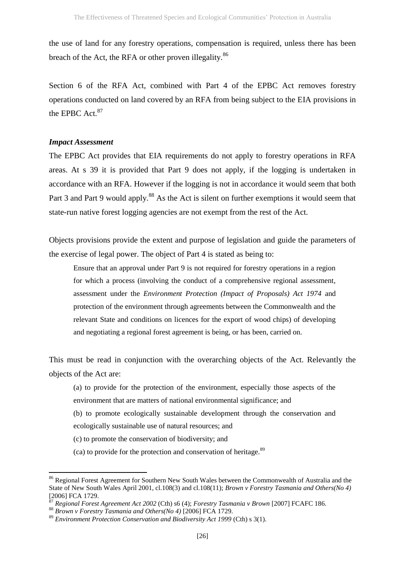the use of land for any forestry operations, compensation is required, unless there has been breach of the Act, the RFA or other proven illegality.<sup>86</sup>

Section 6 of the RFA Act, combined with Part 4 of the EPBC Act removes forestry operations conducted on land covered by an RFA from being subject to the EIA provisions in the EPBC Act.<sup>87</sup>

# *Impact Assessment*

1

The EPBC Act provides that EIA requirements do not apply to forestry operations in RFA areas. At s 39 it is provided that Part 9 does not apply, if the logging is undertaken in accordance with an RFA. However if the logging is not in accordance it would seem that both Part 3 and Part 9 would apply.<sup>88</sup> As the Act is silent on further exemptions it would seem that state-run native forest logging agencies are not exempt from the rest of the Act.

Objects provisions provide the extent and purpose of legislation and guide the parameters of the exercise of legal power. The object of Part 4 is stated as being to:

Ensure that an approval under Part 9 is not required for forestry operations in a region for which a process (involving the conduct of a comprehensive regional assessment, assessment under the *Environment Protection (Impact of Proposals) Act 1974* and protection of the environment through agreements between the Commonwealth and the relevant State and conditions on licences for the export of wood chips) of developing and negotiating a regional forest agreement is being, or has been, carried on.

This must be read in conjunction with the overarching objects of the Act. Relevantly the objects of the Act are:

- (a) to provide for the protection of the environment, especially those aspects of the environment that are matters of national environmental significance; and
- (b) to promote ecologically sustainable development through the conservation and ecologically sustainable use of natural resources; and
- (c) to promote the conservation of biodiversity; and
- $\alpha$  (ca) to provide for the protection and conservation of heritage.<sup>89</sup>

<sup>&</sup>lt;sup>86</sup> Regional Forest Agreement for Southern New South Wales between the Commonwealth of Australia and the State of New South Wales April 2001, cl.108(3) and cl.108(11); *Brown v Forestry Tasmania and Others(No 4)*   $[2006]$  FCA 1729.

<sup>87</sup> *Regional Forest Agreement Act 2002* (Cth) s6 (4); *Forestry Tasmania v Brown* [2007] FCAFC 186.

<sup>88</sup> *Brown v Forestry Tasmania and Others(No 4)* [2006] FCA 1729.

<sup>89</sup> *Environment Protection Conservation and Biodiversity Act 1999* (Cth) s 3(1).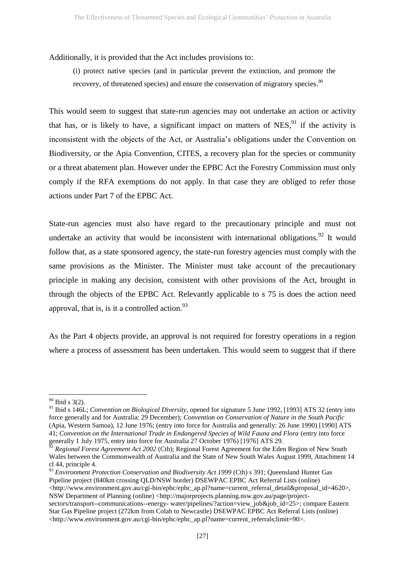Additionally, it is provided that the Act includes provisions to:

(i) protect native species (and in particular prevent the extinction, and promote the recovery, of threatened species) and ensure the conservation of migratory species.<sup>90</sup>

This would seem to suggest that state-run agencies may not undertake an action or activity that has, or is likely to have, a significant impact on matters of  $NES$ ,<sup>91</sup> if the activity is inconsistent with the objects of the Act, or Australia's obligations under the Convention on Biodiversity, or the Apia Convention, CITES, a recovery plan for the species or community or a threat abatement plan. However under the EPBC Act the Forestry Commission must only comply if the RFA exemptions do not apply. In that case they are obliged to refer those actions under Part 7 of the EPBC Act.

State-run agencies must also have regard to the precautionary principle and must not undertake an activity that would be inconsistent with international obligations.<sup>92</sup> It would follow that, as a state sponsored agency, the state-run forestry agencies must comply with the same provisions as the Minister. The Minister must take account of the precautionary principle in making any decision, consistent with other provisions of the Act, brought in through the objects of the EPBC Act. Relevantly applicable to s 75 is does the action need approval, that is, is it a controlled action. $^{93}$ 

As the Part 4 objects provide, an approval is not required for forestry operations in a region where a process of assessment has been undertaken. This would seem to suggest that if there

**.** 

<sup>93</sup> Environment Protection Conservation and Biodiversity Act 1999 (Cth) s 391; Queensland Hunter Gas Pipeline project (840km crossing QLD/NSW border) DSEWPAC EPBC Act Referral Lists (online)  $\lt$ http://www.environment.gov.au/cgi-bin/epbc/epbc\_ap.pl?name=current\_referral\_detail&proposal\_id=4620>, NSW Department of Planning (online) <http://majorprojects.planning.nsw.gov.au/page/project-

 $90$  Ibid s 3(2).

<sup>91</sup> Ibid s 146L; *Convention on Biological Diversity,* opened for signature 5 June 1992, [1993] ATS 32 (entry into force generally and for Australia: 29 December); *Convention on Conservation of Nature in the South Pacific*  (Apia, Western Samoa), 12 June 1976; (entry into force for Australia and generally: 26 June 1990) [1990] ATS 41; *Convention on the International Trade in Endangered Species of Wild Fauna and Flora* (entry into force generally 1 July 1975, entry into force for Australia 27 October 1976) [1976] ATS 29.

<sup>&</sup>lt;sup>52</sup> Regional Forest Agreement Act 2002 (Cth); Regional Forest Agreement for the Eden Region of New South Wales between the Commonwealth of Australia and the State of New South Wales August 1999, Attachment 14 cl 44, principle 4.

sectors/transport--communications--energy- water/pipelines/?action=view\_job&job\_id=25>; compare Eastern Star Gas Pipeline project (272km from Colah to Newcastle) DSEWPAC EPBC Act Referral Lists (online) <http://www.environment.gov.au/cgi-bin/epbc/epbc\_ap.pl?name=current\_referrals;limit=90>.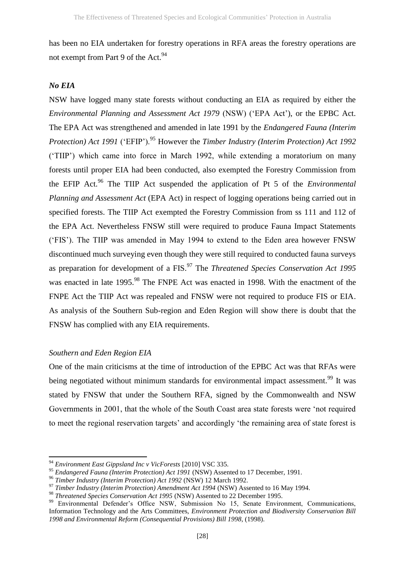has been no EIA undertaken for forestry operations in RFA areas the forestry operations are not exempt from Part 9 of the Act.<sup>94</sup>

# *No EIA*

NSW have logged many state forests without conducting an EIA as required by either the *Environmental Planning and Assessment Act 1979* (NSW) ('EPA Act'), or the EPBC Act. The EPA Act was strengthened and amended in late 1991 by the *Endangered Fauna (Interim Protection) Act 1991* ('EFIP').<sup>95</sup> However the *Timber Industry (Interim Protection) Act 1992* ('TIIP') which came into force in March 1992, while extending a moratorium on many forests until proper EIA had been conducted, also exempted the Forestry Commission from the EFIP Act.<sup>96</sup> The TIIP Act suspended the application of Pt 5 of the *Environmental Planning and Assessment Act* (EPA Act) in respect of logging operations being carried out in specified forests. The TIIP Act exempted the Forestry Commission from ss 111 and 112 of the EPA Act. Nevertheless FNSW still were required to produce Fauna Impact Statements ('FIS'). The TIIP was amended in May 1994 to extend to the Eden area however FNSW discontinued much surveying even though they were still required to conducted fauna surveys as preparation for development of a FIS.<sup>97</sup> The *Threatened Species Conservation Act 1995* was enacted in late 1995.<sup>98</sup> The FNPE Act was enacted in 1998. With the enactment of the FNPE Act the TIIP Act was repealed and FNSW were not required to produce FIS or EIA. As analysis of the Southern Sub-region and Eden Region will show there is doubt that the FNSW has complied with any EIA requirements.

# *Southern and Eden Region EIA*

**.** 

One of the main criticisms at the time of introduction of the EPBC Act was that RFAs were being negotiated without minimum standards for environmental impact assessment.<sup>99</sup> It was stated by FNSW that under the Southern RFA, signed by the Commonwealth and NSW Governments in 2001, that the whole of the South Coast area state forests were 'not required to meet the regional reservation targets' and accordingly 'the remaining area of state forest is

<sup>94</sup> *Environment East Gippsland Inc v VicForests* [2010] VSC 335.

<sup>95</sup> *Endangered Fauna (Interim Protection) Act 1991* (NSW) Assented to 17 December, 1991.

<sup>96</sup> *Timber Industry (Interim Protection) Act 1992* (NSW) 12 March 1992.

<sup>97</sup> *Timber Industry (Interim Protection) Amendment Act 1994* (NSW) Assented to 16 May 1994.

<sup>98</sup> *Threatened Species Conservation Act 1995* (NSW) Assented to 22 December 1995.

<sup>&</sup>lt;sup>99</sup> Environmental Defender's Office NSW, Submission No 15, Senate Environment, Communications, Information Technology and the Arts Committees, *Environment Protection and Biodiversity Conservation Bill 1998 and Environmental Reform (Consequential Provisions) Bill 1998,* (1998).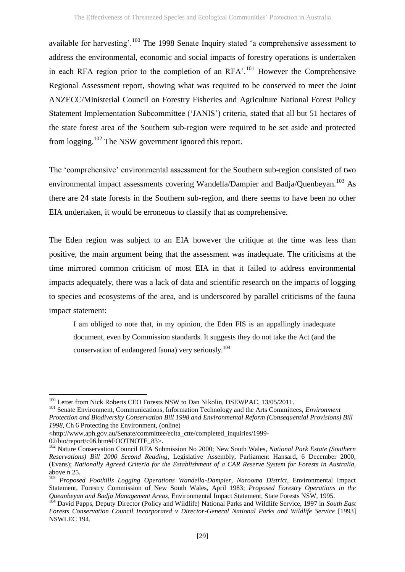available for harvesting'.<sup>100</sup> The 1998 Senate Inquiry stated 'a comprehensive assessment to address the environmental, economic and social impacts of forestry operations is undertaken in each RFA region prior to the completion of an  $RFA$ <sup> $,101$ </sup> However the Comprehensive Regional Assessment report, showing what was required to be conserved to meet the Joint ANZECC/Ministerial Council on Forestry Fisheries and Agriculture National Forest Policy Statement Implementation Subcommittee ('JANIS') criteria, stated that all but 51 hectares of the state forest area of the Southern sub-region were required to be set aside and protected from logging.<sup>102</sup> The NSW government ignored this report.

The 'comprehensive' environmental assessment for the Southern sub-region consisted of two environmental impact assessments covering Wandella/Dampier and Badja/Quenbeyan.<sup>103</sup> As there are 24 state forests in the Southern sub-region, and there seems to have been no other EIA undertaken, it would be erroneous to classify that as comprehensive.

The Eden region was subject to an EIA however the critique at the time was less than positive, the main argument being that the assessment was inadequate. The criticisms at the time mirrored common criticism of most EIA in that it failed to address environmental impacts adequately, there was a lack of data and scientific research on the impacts of logging to species and ecosystems of the area, and is underscored by parallel criticisms of the fauna impact statement:

I am obliged to note that, in my opinion, the Eden FIS is an appallingly inadequate document, even by Commission standards. It suggests they do not take the Act (and the conservation of endangered fauna) very seriously.<sup>104</sup>

<sup>&</sup>lt;sup>100</sup> Letter from Nick Roberts CEO Forests NSW to Dan Nikolin, DSEWPAC, 13/05/2011.

<sup>101</sup> Senate Environment, Communications, Information Technology and the Arts Committees, *Environment Protection and Biodiversity Conservation Bill 1998 and Environmental Reform (Consequential Provisions) Bill 1998*, Ch 6 Protecting the Environment, (online)

<sup>&</sup>lt;http://www.aph.gov.au/Senate/committee/ecita\_ctte/completed\_inquiries/1999-

<sup>02/</sup>bio/report/c06.htm#FOOTNOTE\_83>.

<sup>102</sup> Nature Conservation Council RFA Submission No 2000; New South Wales, *National Park Estate (Southern Reservations) Bill 2000 Second Reading*, Legislative Assembly, Parliament Hansard, 6 December 2000, (Evans); *Nationally Agreed Criteria for the Establishment of a CAR Reserve System for Forests in Australia,*  above n [25.](#page-7-1)

<sup>&</sup>lt;sup>103</sup> Proposed Foothills Logging Operations Wandella-Dampier, Narooma District, Environmental Impact Statement, Forestry Commission of New South Wales, April 1983; *Proposed Forestry Operations in the Queanbeyan and Badja Management Areas*, Environmental Impact Statement, State Forests NSW, 1995.

<sup>&</sup>lt;sup>104</sup> David Papps, Deputy Director (Policy and Wildlife) National Parks and Wildlife Service, 1997 in *South East Forests Conservation Council Incorporated v Director-General National Parks and Wildlife Service* [1993] NSWLEC 194.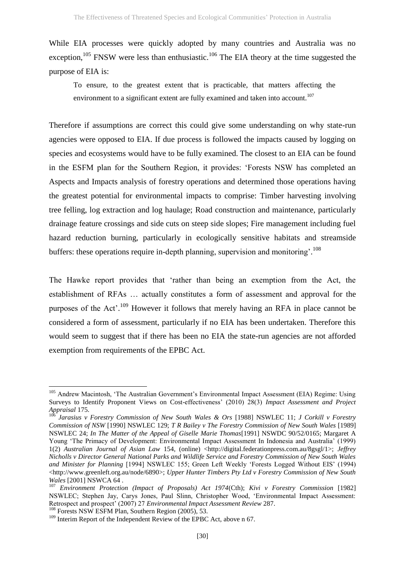While EIA processes were quickly adopted by many countries and Australia was no exception,  $105$  FNSW were less than enthusiastic.  $106$  The EIA theory at the time suggested the purpose of EIA is:

To ensure, to the greatest extent that is practicable, that matters affecting the environment to a significant extent are fully examined and taken into account.<sup>107</sup>

Therefore if assumptions are correct this could give some understanding on why state-run agencies were opposed to EIA. If due process is followed the impacts caused by logging on species and ecosystems would have to be fully examined. The closest to an EIA can be found in the ESFM plan for the Southern Region, it provides: 'Forests NSW has completed an Aspects and Impacts analysis of forestry operations and determined those operations having the greatest potential for environmental impacts to comprise: Timber harvesting involving tree felling, log extraction and log haulage; Road construction and maintenance, particularly drainage feature crossings and side cuts on steep side slopes; Fire management including fuel hazard reduction burning, particularly in ecologically sensitive habitats and streamside buffers: these operations require in-depth planning, supervision and monitoring<sup>'. 108</sup>

The Hawke report provides that 'rather than being an exemption from the Act, the establishment of RFAs … actually constitutes a form of assessment and approval for the purposes of the Act'.<sup>109</sup> However it follows that merely having an RFA in place cannot be considered a form of assessment, particularly if no EIA has been undertaken. Therefore this would seem to suggest that if there has been no EIA the state-run agencies are not afforded exemption from requirements of the EPBC Act.

<sup>&</sup>lt;sup>105</sup> Andrew Macintosh, 'The Australian Government's Environmental Impact Assessment (EIA) Regime: Using Surveys to Identify Proponent Views on Cost-effectiveness' (2010) 28(3) *Impact Assessment and Project Appraisal* 175.

<sup>106</sup> *Jarasius v Forestry Commission of New South Wales & Ors* [1988] NSWLEC 11; *J Corkill v Forestry Commission of NSW* [1990] NSWLEC 129; *T R Bailey v The Forestry Commission of New South Wales* [1989] NSWLEC 24; *In The Matter of the Appeal of Giselle Marie Thomas*[1991] NSWDC 90/52/0165; Margaret A Young 'The Primacy of Development: Environmental Impact Assessment In Indonesia and Australia' (1999) 1(2) *Australian Journal of Asian Law* 154, (online) <http://digital.federationpress.com.au/8gsgl/1>; *Jeffrey Nicholls v Director General National Parks and Wildlife Service and Forestry Commission of New South Wales and Minister for Planning* [1994] NSWLEC 155; Green Left Weekly 'Forests Logged Without EIS' (1994) <http://www.greenleft.org.au/node/6890>; *Upper Hunter Timbers Pty Ltd v Forestry Commission of New South Wales* [2001] NSWCA 64 .

<sup>107</sup> *Environment Protection (Impact of Proposals) Act 1974*(Cth); *Kivi v Forestry Commission* [1982] NSWLEC; Stephen Jay, Carys Jones, Paul Slinn, Christopher Wood, 'Environmental Impact Assessment: Retrospect and prospect' (2007) 27 *Environmental Impact Assessment Review* 287.

<sup>&</sup>lt;sup>108</sup> Forests NSW ESFM Plan, Southern Region (2005), 53.

<sup>&</sup>lt;sup>109</sup> Interim Report of the Independent Review of the EPBC Act, above n [67.](#page-20-0)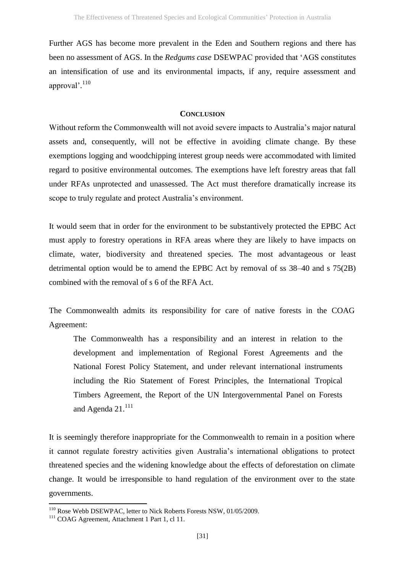Further AGS has become more prevalent in the Eden and Southern regions and there has been no assessment of AGS. In the *Redgums case* DSEWPAC provided that 'AGS constitutes an intensification of use and its environmental impacts, if any, require assessment and approval'.<sup>110</sup>

#### **CONCLUSION**

Without reform the Commonwealth will not avoid severe impacts to Australia's major natural assets and, consequently, will not be effective in avoiding climate change. By these exemptions logging and woodchipping interest group needs were accommodated with limited regard to positive environmental outcomes. The exemptions have left forestry areas that fall under RFAs unprotected and unassessed. The Act must therefore dramatically increase its scope to truly regulate and protect Australia's environment.

It would seem that in order for the environment to be substantively protected the EPBC Act must apply to forestry operations in RFA areas where they are likely to have impacts on climate, water, biodiversity and threatened species. The most advantageous or least detrimental option would be to amend the EPBC Act by removal of ss 38–40 and s 75(2B) combined with the removal of s 6 of the RFA Act.

The Commonwealth admits its responsibility for care of native forests in the COAG Agreement:

The Commonwealth has a responsibility and an interest in relation to the development and implementation of Regional Forest Agreements and the National Forest Policy Statement, and under relevant international instruments including the Rio Statement of Forest Principles, the International Tropical Timbers Agreement, the Report of the UN Intergovernmental Panel on Forests and Agenda  $21.<sup>111</sup>$ 

It is seemingly therefore inappropriate for the Commonwealth to remain in a position where it cannot regulate forestry activities given Australia's international obligations to protect threatened species and the widening knowledge about the effects of deforestation on climate change. It would be irresponsible to hand regulation of the environment over to the state governments.

<sup>&</sup>lt;sup>110</sup> Rose Webb DSEWPAC, letter to Nick Roberts Forests NSW, 01/05/2009.

<sup>&</sup>lt;sup>111</sup> COAG Agreement, Attachment 1 Part 1, cl 11.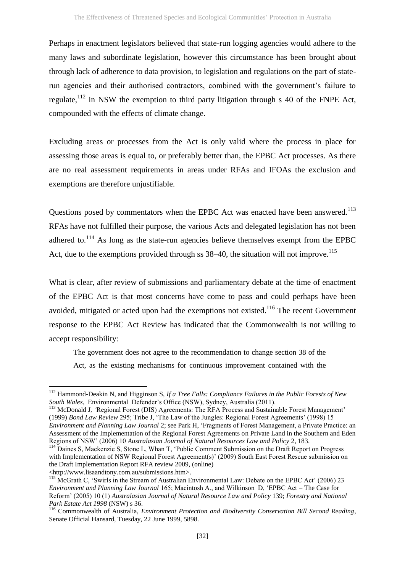Perhaps in enactment legislators believed that state-run logging agencies would adhere to the many laws and subordinate legislation, however this circumstance has been brought about through lack of adherence to data provision, to legislation and regulations on the part of staterun agencies and their authorised contractors, combined with the government's failure to regulate, $1^{12}$  in NSW the exemption to third party litigation through s 40 of the FNPE Act, compounded with the effects of climate change.

Excluding areas or processes from the Act is only valid where the process in place for assessing those areas is equal to, or preferably better than, the EPBC Act processes. As there are no real assessment requirements in areas under RFAs and IFOAs the exclusion and exemptions are therefore unjustifiable.

Questions posed by commentators when the EPBC Act was enacted have been answered.<sup>113</sup> RFAs have not fulfilled their purpose, the various Acts and delegated legislation has not been adhered to. $^{114}$  As long as the state-run agencies believe themselves exempt from the EPBC Act, due to the exemptions provided through ss  $38-40$ , the situation will not improve.<sup>115</sup>

What is clear, after review of submissions and parliamentary debate at the time of enactment of the EPBC Act is that most concerns have come to pass and could perhaps have been avoided, mitigated or acted upon had the exemptions not existed.<sup>116</sup> The recent Government response to the EPBC Act Review has indicated that the Commonwealth is not willing to accept responsibility:

The government does not agree to the recommendation to change section 38 of the Act, as the existing mechanisms for continuous improvement contained with the

<sup>112</sup> Hammond-Deakin N, and Higginson S, *If a Tree Falls: Compliance Failures in the Public Forests of New South Wales*, Environmental Defender's Office (NSW), Sydney, Australia (2011).

<sup>113</sup> McDonald J*, '*Regional Forest (DIS) Agreements: The RFA Process and Sustainable Forest Management' (1999) *Bond Law Review* 295; Tribe J, 'The Law of the Jungles: Regional Forest Agreements' (1998) 15 *Environment and Planning Law Journal* 2; see Park H, 'Fragments of Forest Management, a Private Practice: an Assessment of the Implementation of the Regional Forest Agreements on Private Land in the Southern and Eden Regions of NSW' (2006) 10 *Australasian Journal of Natural Resources Law and Policy* 2, 183.

<sup>&</sup>lt;sup>114</sup> Daines S, Mackenzie S, Stone L, Whan T, 'Public Comment Submission on the Draft Report on Progress with Implementation of NSW Regional Forest Agreement(s)' (2009) South East Forest Rescue submission on the Draft Implementation Report RFA review 2009, (online) [<http://www.lisaandtony.com.au/submissions.htm>](http://www.lisaandtony.com.au/submissions.htm).

<sup>&</sup>lt;sup>115</sup> McGrath C, 'Swirls in the Stream of Australian Environmental Law: Debate on the EPBC Act' (2006) 23 *Environment and Planning Law Journal* 165; Macintosh A., and Wilkinson D, 'EPBC Act – The Case for Reform' (2005) 10 (1) *Australasian Journal of Natural Resource Law and Policy* 139; *Forestry and National Park Estate Act 1998* (NSW) s 36.

<sup>116</sup> Commonwealth of Australia, *Environment Protection and Biodiversity Conservation Bill Second Reading*, Senate Official Hansard, Tuesday, 22 June 1999, 5898.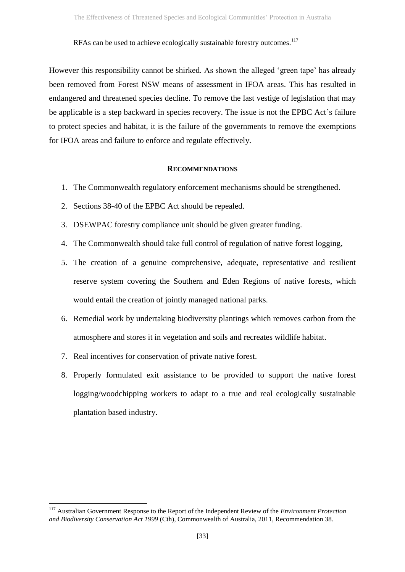RFAs can be used to achieve ecologically sustainable forestry outcomes.<sup>117</sup>

However this responsibility cannot be shirked. As shown the alleged 'green tape' has already been removed from Forest NSW means of assessment in IFOA areas. This has resulted in endangered and threatened species decline. To remove the last vestige of legislation that may be applicable is a step backward in species recovery. The issue is not the EPBC Act's failure to protect species and habitat, it is the failure of the governments to remove the exemptions for IFOA areas and failure to enforce and regulate effectively.

#### **RECOMMENDATIONS**

- 1. The Commonwealth regulatory enforcement mechanisms should be strengthened.
- 2. Sections 38-40 of the EPBC Act should be repealed.
- 3. DSEWPAC forestry compliance unit should be given greater funding.
- 4. The Commonwealth should take full control of regulation of native forest logging,
- 5. The creation of a genuine comprehensive, adequate, representative and resilient reserve system covering the Southern and Eden Regions of native forests, which would entail the creation of jointly managed national parks.
- 6. Remedial work by undertaking biodiversity plantings which removes carbon from the atmosphere and stores it in vegetation and soils and recreates wildlife habitat.
- 7. Real incentives for conservation of private native forest.
- 8. Properly formulated exit assistance to be provided to support the native forest logging/woodchipping workers to adapt to a true and real ecologically sustainable plantation based industry.

**<sup>.</sup>** <sup>117</sup> Australian Government Response to the Report of the Independent Review of the *Environment Protection and Biodiversity Conservation Act 1999* (Cth), Commonwealth of Australia, 2011, Recommendation 38.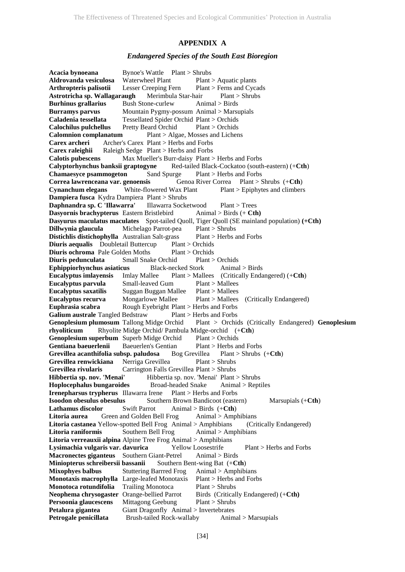# **APPENDIX A**

#### *Endangered Species of the South East Bioregion*

**Acacia bynoeana** Bynoe's Wattle Plant > Shrubs Aldrovanda vesiculosa Waterwheel Plant Plant > Aquatic plants **Arthropteris palisotii** Lesser Creeping Fern Plant > Ferns and Cycads **Astrotricha sp. Wallagaraugh** Merimbula Star-hair Plant > Shrubs **Burhinus grallarius** Bush Stone-curlew Animal > Birds **Burramys parvus** Mountain Pygmy-possum Animal > Marsupials **Caladenia tessellata** Tessellated Spider Orchid Plant > Orchids **Calochilus pulchellus** Pretty Beard Orchid Plant > Orchids **Calomnion complanatum** Plant > Algae, Mosses and Lichens **Carex archeri** Archer's Carex Plant > Herbs and Forbs **Carex raleighii** Raleigh Sedge Plant > Herbs and Forbs **Calotis pubescens** Max Mueller's Burr-daisy Plant > Herbs and Forbs **Calyptorhynchus banksii graptogyne** Red-tailed Black-Cockatoo (south-eastern) (+**Cth**) **Chamaesyce psammogeton** Sand Spurge Plant > Herbs and Forbs **Correa lawrenceana var. genoensis** Genoa River Correa Plant > Shrubs (+**Cth**) **Cynanchum elegans** White-flowered Wax Plant Plant > Epiphytes and climbers **Dampiera fusca** Kydra Dampiera Plant > Shrubs **Daphnandra sp. C 'Illawarra'** Illawarra Socketwood Plant > Trees **Dasyornis brachypterus** Eastern Bristlebird Animal > Birds (+ Cth) **Dasyurus maculatus maculates** Spot-tailed Quoll, Tiger Quoll (SE mainland population) **(+Cth) Dillwynia glaucula** Michelago Parrot-pea Plant > Shrubs **Distichlis distichophylla** Australian Salt-grass Plant > Herbs and Forbs **Diuris aequalis** Doubletail Buttercup Plant > Orchids **Diuris ochroma** Pale Golden Moths Plant > Orchids **Diuris pedunculata** Small Snake Orchid Plant > Orchids **Ephippiorhynchus asiaticus** Black-necked Stork Animal > Birds **Eucalyptus imlayensis** Imlay Mallee Plant > Mallees (Critically Endangered) (+**Cth**) **Eucalyptus parvula** Small-leaved Gum Plant > Mallees **Eucalyptus saxatilis** Suggan Buggan Mallee Plant > Mallees **Eucalyptus recurva** Mongarlowe Mallee Plant > Mallees (Critically Endangered) **Euphrasia scabra** Rough Eyebright Plant > Herbs and Forbs **Galium australe** Tangled Bedstraw Plant > Herbs and Forbs **Genoplesium plumosum** Tallong Midge Orchid Plant > Orchids (Critically Endangered) **Genoplesium rhyoliticum** Rhyolite Midge Orchid/ Pambula Midge-orchid (+**Cth**) **Genoplesium superbum** Superb Midge Orchid Plant > Orchids **Gentiana baeuerlenii** Baeuerlen's Gentian Plant > Herbs and Forbs **Grevillea acanthifolia subsp. paludosa** Bog Grevillea Plant > Shrubs (+**Cth**) **Grevillea renwickiana** Nerriga Grevillea Plant > Shrubs **Grevillea rivularis** Carrington Falls Grevillea Plant > Shrubs **Hibbertia sp. nov. 'Menai'** Hibbertia sp. nov. 'Menai' Plant > Shrubs **Hoplocephalus bungaroides** Broad-headed Snake Animal > Reptiles **Irenepharsus trypherus** Illawarra Irene Plant > Herbs and Forbs **Isoodon obesulus obesulus** Southern Brown Bandicoot (eastern) Marsupials (+**Cth**) **Lathamus discolor** Swift Parrot Animal > Birds (+**Cth**) **Litoria aurea** Green and Golden Bell Frog Animal > Amphibians Litoria castanea Yellow-spotted Bell Frog Animal > Amphibians **Litoria raniformis** Southern Bell Frog Animal > Amphibians **Litoria verreauxii alpina** Alpine Tree Frog Animal > Amphibians **Lysimachia vulgaris var. davurica** Yellow Loosestrife Plant > Herbs and Forbs **Macronectes giganteus** Southern Giant-Petrel Animal > Birds **Miniopterus schreibersii bassanii** Southern Bent-wing Bat (+Cth) **Mixophyes balbus** Stuttering Barrred Frog Animal > Amphibians **Monotaxis macrophylla** Large-leafed Monotaxis Plant > Herbs and Forbs **Monotoca rotundifolia** Trailing Monotoca Plant > Shrubs **Neophema chrysogaster** Orange-bellied Parrot Birds (Critically Endangered) (+**Cth) Persoonia glaucescens** Mittagong Geebung Plant > Shrubs **Petalura gigantea** Giant Dragonfly Animal > Invertebrates **Petrogale penicillata** Brush-tailed Rock-wallaby Animal > Marsupials